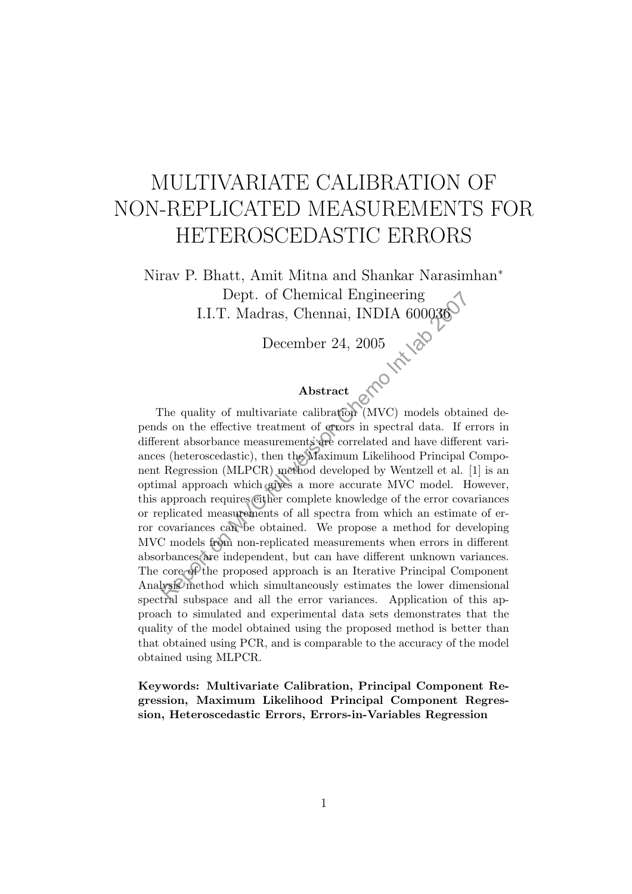# MULTIVARIATE CALIBRATION OF NON-REPLICATED MEASUREMENTS FOR HETEROSCEDASTIC ERRORS

Nirav P. Bhatt, Amit Mitna and Shankar Narasimhan<sup>∗</sup> Dept. of Chemical Engineering I.I.T. Madras, Chennai, INDIA 600036

December 24, 2005

#### Abstract

The quality of multivariate calibration (MVC) models obtained depends on the effective treatment of errors in spectral data. If errors in different absorbance measurements are correlated and have different variances (heteroscedastic), then the Maximum Likelihood Principal Component Regression (MLPCR) method developed by Wentzell et al. [1] is an optimal approach which gives a more accurate MVC model. However, this approach requires either complete knowledge of the error covariances or replicated measurements of all spectra from which an estimate of error covariances can be obtained. We propose a method for developing MVC models from non-replicated measurements when errors in different absorbances are independent, but can have different unknown variances. The core of the proposed approach is an Iterative Principal Component Analysis method which simultaneously estimates the lower dimensional spectral subspace and all the error variances. Application of this approach to simulated and experimental data sets demonstrates that the quality of the model obtained using the proposed method is better than that obtained using PCR, and is comparable to the accuracy of the model obtained using MLPCR. Dept. of Chemical Engineering<br>
I.I.T. Madras, Chennai, INDIA 600036<br>
December 24, 2005<br>
Abstract<br>
The quality of multivariate calibration (MVC) models obtails<br>
and the effective treatment of errors in spectral data. If  $e$ 

Keywords: Multivariate Calibration, Principal Component Regression, Maximum Likelihood Principal Component Regression, Heteroscedastic Errors, Errors-in-Variables Regression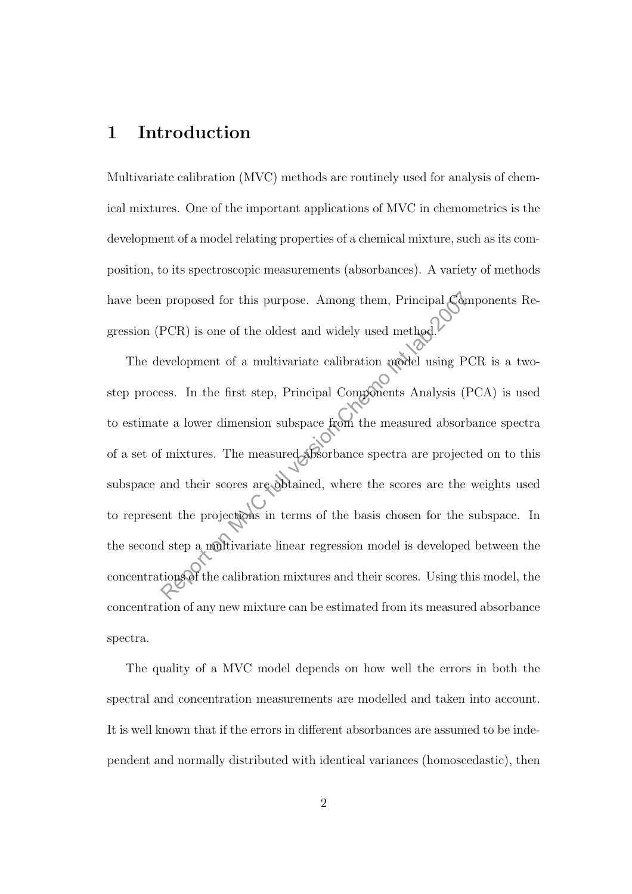# 1 Introduction

Multivariate calibration (MVC) methods are routinely used for analysis of chemical mixtures. One of the important applications of MVC in chemometrics is the development of a model relating properties of a chemical mixture, such as its composition, to its spectroscopic measurements (absorbances). A variety of methods have been proposed for this purpose. Among them, Principal Components Regression (PCR) is one of the oldest and widely used method.

The development of a multivariate calibration model using PCR is a twostep process. In the first step, Principal Components Analysis (PCA) is used to estimate a lower dimension subspace from the measured absorbance spectra of a set of mixtures. The measured absorbance spectra are projected on to this subspace and their scores are obtained, where the scores are the weights used to represent the projections in terms of the basis chosen for the subspace. In the second step a multivariate linear regression model is developed between the concentrations of the calibration mixtures and their scores. Using this model, the concentration of any new mixture can be estimated from its measured absorbance spectra. reproposed for this purpose. Among them, Principal Cone<br>PCR) is one of the oldest and widely used method.<br>
evelopment of a multivariate calibration model using P<br>
ess. In the first step, Principal Components Analysis (For

The quality of a MVC model depends on how well the errors in both the spectral and concentration measurements are modelled and taken into account. It is well known that if the errors in different absorbances are assumed to be independent and normally distributed with identical variances (homoscedastic), then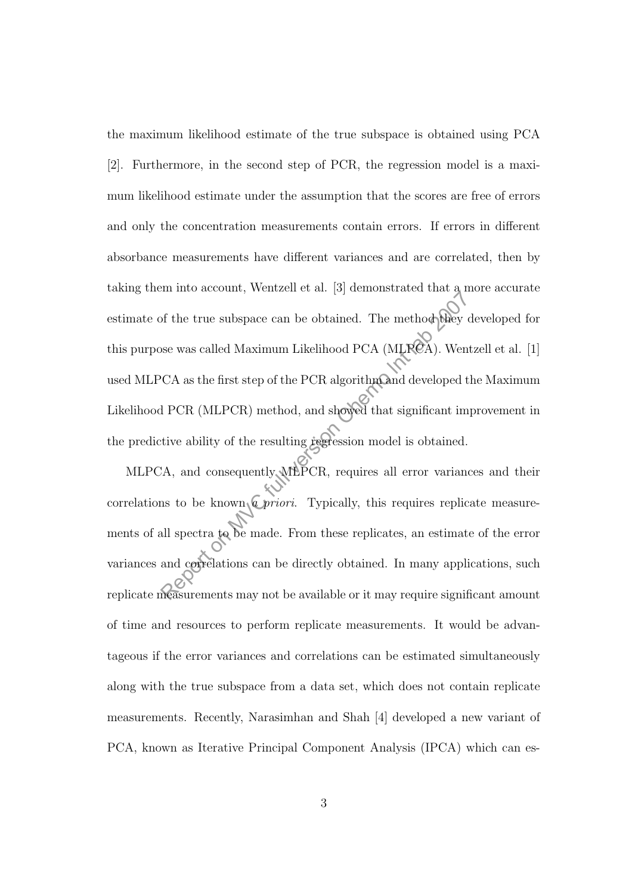the maximum likelihood estimate of the true subspace is obtained using PCA [2]. Furthermore, in the second step of PCR, the regression model is a maximum likelihood estimate under the assumption that the scores are free of errors and only the concentration measurements contain errors. If errors in different absorbance measurements have different variances and are correlated, then by taking them into account, Wentzell et al. [3] demonstrated that a more accurate estimate of the true subspace can be obtained. The method they developed for this purpose was called Maximum Likelihood PCA (MLPCA). Wentzell et al. [1] used MLPCA as the first step of the PCR algorithm and developed the Maximum Likelihood PCR (MLPCR) method, and showed that significant improvement in the predictive ability of the resulting  $\mathbf{r}_\mathbf{S}$  regression model is obtained. of the true subspace can be obtained. The method blue<br>ose was called Maximum Likelihood PCA (MLRCA). Wen<br>CA as the first step of the PCR algorithm and developed t<br>i PCR (MLPCR) method, and showed that significant im<br>tive a

MLPCA, and consequently MLPCR, requires all error variances and their correlations to be known  $\mathbb{Q}$  priori. Typically, this requires replicate measurements of all spectra to be made. From these replicates, an estimate of the error variances and correlations can be directly obtained. In many applications, such replicate measurements may not be available or it may require significant amount of time and resources to perform replicate measurements. It would be advantageous if the error variances and correlations can be estimated simultaneously along with the true subspace from a data set, which does not contain replicate measurements. Recently, Narasimhan and Shah [4] developed a new variant of PCA, known as Iterative Principal Component Analysis (IPCA) which can es-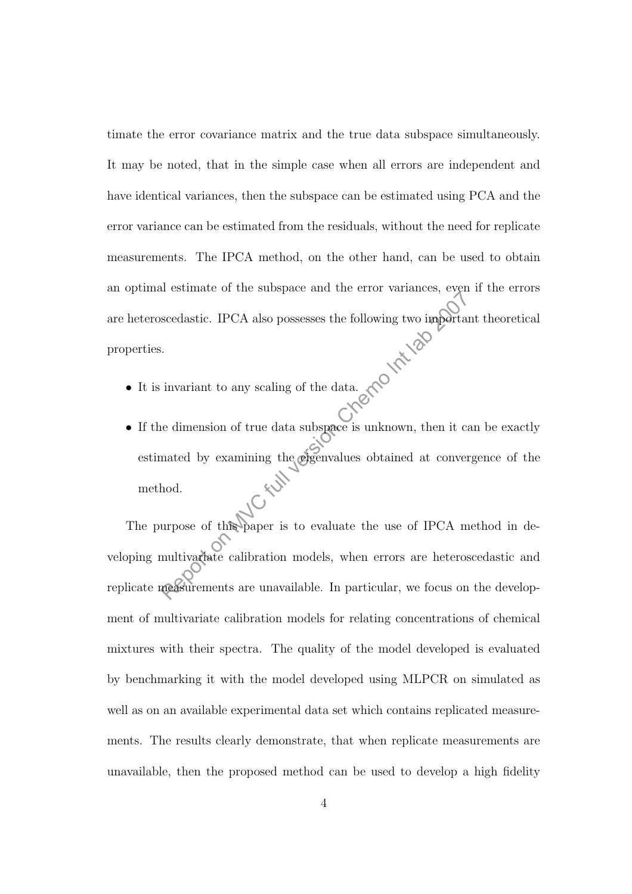timate the error covariance matrix and the true data subspace simultaneously. It may be noted, that in the simple case when all errors are independent and have identical variances, then the subspace can be estimated using PCA and the error variance can be estimated from the residuals, without the need for replicate measurements. The IPCA method, on the other hand, can be used to obtain an optimal estimate of the subspace and the error variances, even if the errors are heteroscedastic. IPCA also possesses the following two important theoretical properties.

- It is invariant to any scaling of the data.
- If the dimension of true data subspace is unknown, then it can be exactly estimated by examining the eigenvalues obtained at convergence of the method.

The purpose of this paper is to evaluate the use of IPCA method in developing multivariate calibration models, when errors are heteroscedastic and replicate measurements are unavailable. In particular, we focus on the development of multivariate calibration models for relating concentrations of chemical mixtures with their spectra. The quality of the model developed is evaluated by benchmarking it with the model developed using MLPCR on simulated as well as on an available experimental data set which contains replicated measurements. The results clearly demonstrate, that when replicate measurements are unavailable, then the proposed method can be used to develop a high fidelity Scedastic. IPCA also possesses the following two importance secedastic. IPCA also possesses the following two importance is univariant to any scaling of the data. CRO NAVC function control in the examining the eigenvalues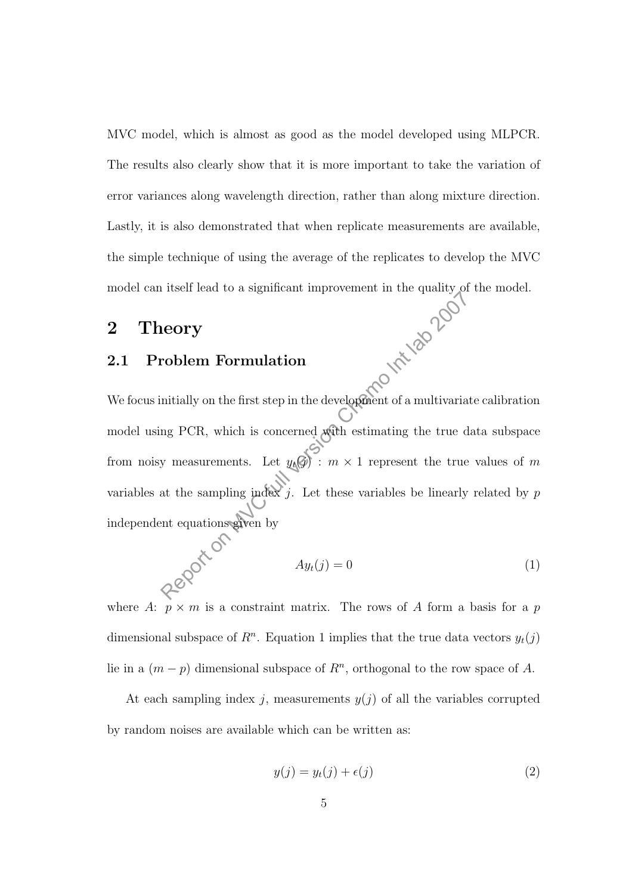MVC model, which is almost as good as the model developed using MLPCR. The results also clearly show that it is more important to take the variation of error variances along wavelength direction, rather than along mixture direction. Lastly, it is also demonstrated that when replicate measurements are available, the simple technique of using the average of the replicates to develop the MVC

## 2 Theory

### 2.1 Problem Formulation

model can itself lead to a significant improvement in the quality of the model.<br> **2.1 Problem Formulation**<br>
We focus: We focus initially on the first step in the development of a multivariate calibration model using PCR, which is concerned with estimating the true data subspace from noisy measurements. Let  $y_t(\mathcal{G})$  :  $m \times 1$  represent the true values of m variables at the sampling index j. Let these variables be linearly related by  $p$ independent equations given by Report of a multivariant method of a significant in the development of a multivarial intially on the first step in the development of a multivarial ang PCR, which is concerned with estimating the true of y measurements. L

$$
Ay_t(j) = 0\tag{1}
$$

where A:  $p \times m$  is a constraint matrix. The rows of A form a basis for a p dimensional subspace of  $R<sup>n</sup>$ . Equation 1 implies that the true data vectors  $y_t(j)$ lie in a  $(m - p)$  dimensional subspace of  $R<sup>n</sup>$ , orthogonal to the row space of A.

At each sampling index j, measurements  $y(j)$  of all the variables corrupted by random noises are available which can be written as:

$$
y(j) = y_t(j) + \epsilon(j)
$$
\n<sup>(2)</sup>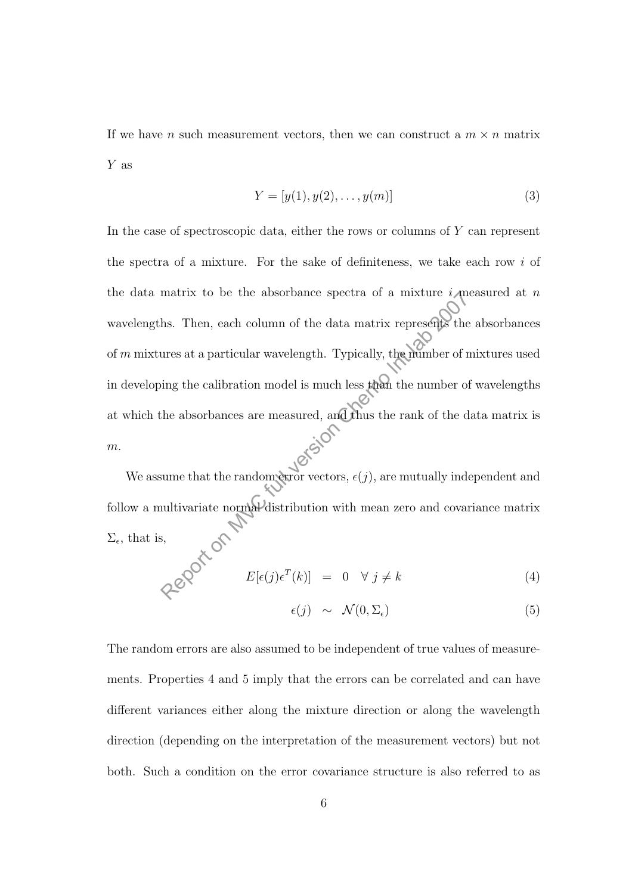If we have n such measurement vectors, then we can construct a  $m \times n$  matrix Y as

$$
Y = [y(1), y(2), \dots, y(m)]
$$
 (3)

In the case of spectroscopic data, either the rows or columns of  $Y$  can represent the spectra of a mixture. For the sake of definiteness, we take each row  $i$  of the data matrix to be the absorbance spectra of a mixture *i* measured at *n* wavelengths. Then, each column of the data matrix represents the absorbances of  $m$  mixtures at a particular wavelength. Typically, the number of mixtures used in developing the calibration model is much less than the number of wavelengths at which the absorbances are measured, and thus the rank of the data matrix is  $m$ . matrix to be the absorbance spectra or a mixture  $i$  m<br>hs. Then, each column of the data matrix represents the<br>ures at a particular wavelength. Typically, the mimber of r<br>ing the calibration model is much less than the nu

We assume that the random error vectors,  $\epsilon(j)$ , are mutually independent and follow a multivariate normal distribution with mean zero and covariance matrix  $\Sigma_{\epsilon}$ , that is,

$$
E[\epsilon(j)\epsilon^T(k)] = 0 \quad \forall \ j \neq k \tag{4}
$$

$$
\epsilon(j) \sim \mathcal{N}(0, \Sigma_{\epsilon}) \tag{5}
$$

The random errors are also assumed to be independent of true values of measurements. Properties 4 and 5 imply that the errors can be correlated and can have different variances either along the mixture direction or along the wavelength direction (depending on the interpretation of the measurement vectors) but not both. Such a condition on the error covariance structure is also referred to as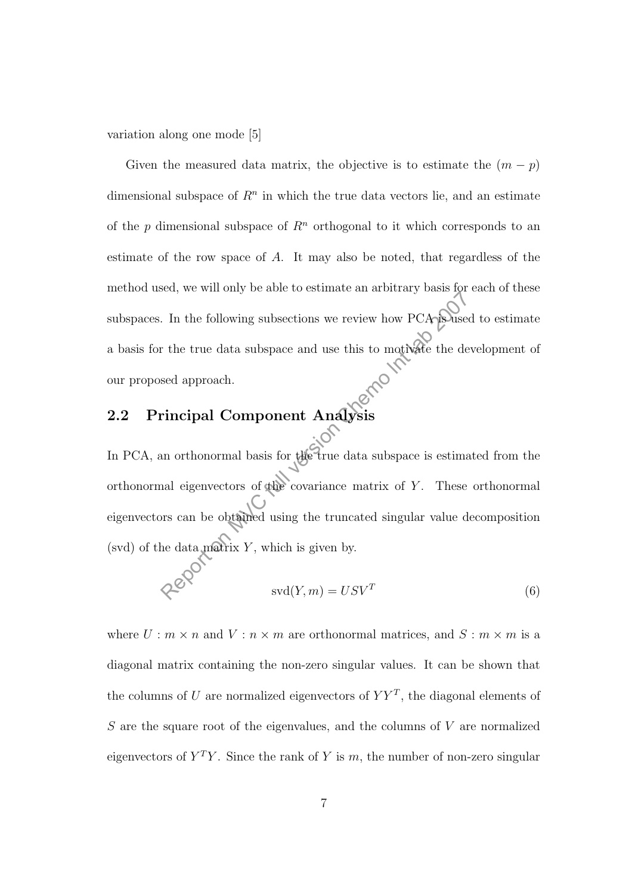variation along one mode [5]

Given the measured data matrix, the objective is to estimate the  $(m - p)$ dimensional subspace of  $R<sup>n</sup>$  in which the true data vectors lie, and an estimate of the p dimensional subspace of  $R<sup>n</sup>$  orthogonal to it which corresponds to an estimate of the row space of  $A$ . It may also be noted, that regardless of the method used, we will only be able to estimate an arbitrary basis for each of these subspaces. In the following subsections we review how PCA is used to estimate a basis for the true data subspace and use this to motivate the development of our proposed approach.

## 2.2 Principal Component Analysis

In PCA, an orthonormal basis for the true data subspace is estimated from the orthonormal eigenvectors of the covariance matrix of Y. These orthonormal eigenvectors can be obtained using the truncated singular value decomposition (svd) of the data matrix  $Y$ , which is given by. Report on MVC function we review how PCA is used approach.<br>
The the true data subspace and use this to motivate the dependent.<br>
Fincipal Component Analysis<br>
and orthonormal basis for the true data subspace is estimated ap

$$
svd(Y,m) = USV^T
$$
 (6)

where  $U : m \times n$  and  $V : n \times m$  are orthonormal matrices, and  $S : m \times m$  is a diagonal matrix containing the non-zero singular values. It can be shown that the columns of U are normalized eigenvectors of  $YY<sup>T</sup>$ , the diagonal elements of  $S$  are the square root of the eigenvalues, and the columns of  $V$  are normalized eigenvectors of  $Y^T Y$ . Since the rank of Y is m, the number of non-zero singular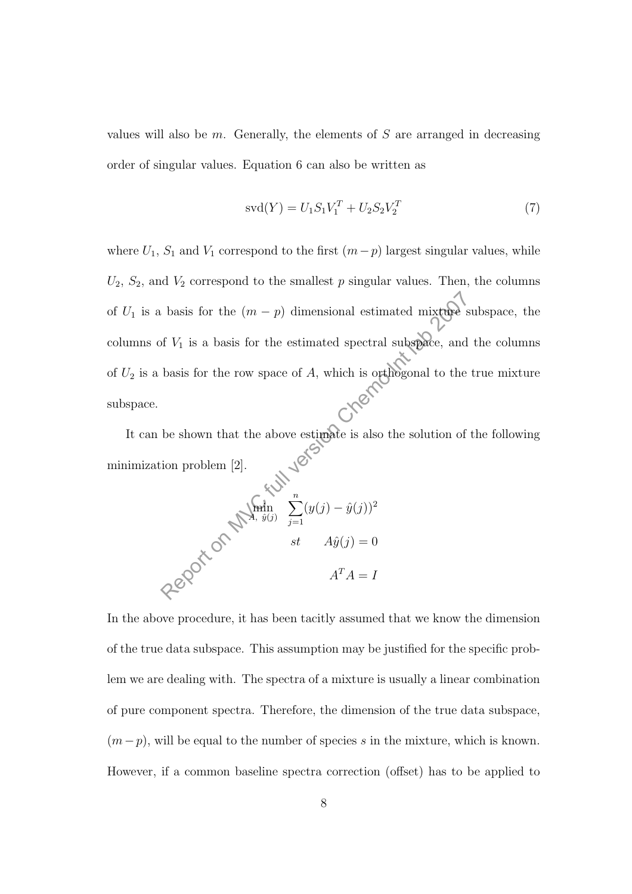values will also be  $m$ . Generally, the elements of  $S$  are arranged in decreasing order of singular values. Equation 6 can also be written as

$$
svd(Y) = U_1 S_1 V_1^T + U_2 S_2 V_2^T
$$
\n(7)

where  $U_1$ ,  $S_1$  and  $V_1$  correspond to the first  $(m-p)$  largest singular values, while  $U_2$ ,  $S_2$ , and  $V_2$  correspond to the smallest p singular values. Then, the columns of  $U_1$  is a basis for the  $(m - p)$  dimensional estimated mixture subspace, the columns of  $V_1$  is a basis for the estimated spectral subspace, and the columns of  $U_2$  is a basis for the row space of A, which is orthogonal to the true mixture subspace. basis for the  $(m - p)$  dimensional estimated mixtures<br>of  $V_1$  is a basis for the estimated spectral subspace, and<br>basis for the row space of  $A$ , which is orthogonal to the<br>be shown that the above estimate is also the solu

It can be shown that the above estimate is also the solution of the following nimization problem [2]. minimization problem [2].

$$
\mathcal{L} \mathcal{L} \mathcal{L}
$$
\n
$$
\mathcal{L} \mathcal{L} \mathcal{L} \mathcal{L}
$$
\n
$$
\mathcal{L} \mathcal{L} \mathcal{L} \mathcal{L} \mathcal{L} \mathcal{L} \mathcal{L} \mathcal{L} \mathcal{L} \mathcal{L} \mathcal{L} \mathcal{L} \mathcal{L} \mathcal{L} \mathcal{L} \mathcal{L} \mathcal{L} \mathcal{L} \mathcal{L} \mathcal{L} \mathcal{L} \mathcal{L} \mathcal{L} \mathcal{L} \mathcal{L} \mathcal{L} \mathcal{L} \mathcal{L} \mathcal{L} \mathcal{L} \mathcal{L} \mathcal{L} \mathcal{L} \mathcal{L} \mathcal{L} \mathcal{L} \mathcal{L} \mathcal{L} \mathcal{L} \mathcal{L} \mathcal{L} \mathcal{L} \mathcal{L} \mathcal{L} \mathcal{L} \mathcal{L} \mathcal{L} \mathcal{L} \mathcal{L} \mathcal{L} \mathcal{L} \mathcal{L} \mathcal{L} \mathcal{L} \mathcal{L} \mathcal{L} \mathcal{L} \mathcal{L} \mathcal{L} \mathcal{L} \mathcal{L} \mathcal{L} \mathcal{L} \mathcal{L} \mathcal{L} \mathcal{L} \mathcal{L} \mathcal{L} \mathcal{L} \mathcal{L} \mathcal{L} \mathcal{L} \mathcal{L} \mathcal{L} \mathcal{L} \mathcal{L} \mathcal{L} \mathcal{L} \mathcal{L} \mathcal{L} \mathcal{L} \mathcal{L} \mathcal{L} \mathcal{L} \mathcal{L} \mathcal{L} \mathcal{L} \mathcal{L} \mathcal{L} \mathcal{L} \mathcal{L} \mathcal{L} \mathcal{L} \mathcal{L} \mathcal{L} \mathcal{L} \mathcal{L} \mathcal{L} \mathcal{L} \mathcal{L} \mathcal{L} \mathcal{L} \mathcal{L} \mathcal{L} \mathcal{L} \mathcal{L} \mathcal{L} \mathcal{L} \mathcal{L} \mathcal{L} \mathcal{L} \mathcal{L} \mathcal{L} \mathcal{L} \mathcal{L} \mathcal{L} \mathcal{L}
$$

In the above procedure, it has been tacitly assumed that we know the dimension of the true data subspace. This assumption may be justified for the specific problem we are dealing with. The spectra of a mixture is usually a linear combination of pure component spectra. Therefore, the dimension of the true data subspace,  $(m-p)$ , will be equal to the number of species s in the mixture, which is known. However, if a common baseline spectra correction (offset) has to be applied to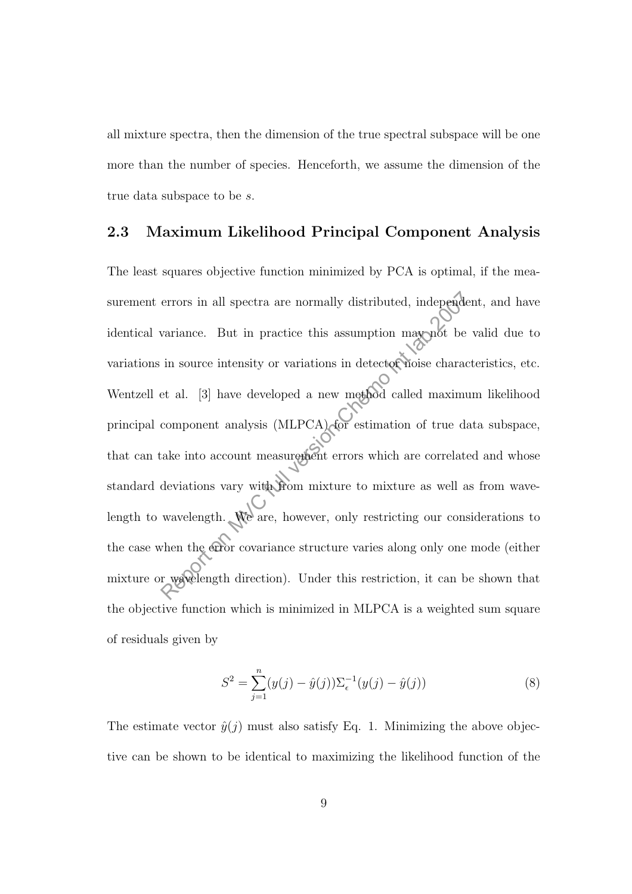all mixture spectra, then the dimension of the true spectral subspace will be one more than the number of species. Henceforth, we assume the dimension of the true data subspace to be s.

### 2.3 Maximum Likelihood Principal Component Analysis

The least squares objective function minimized by PCA is optimal, if the measurement errors in all spectra are normally distributed, independent, and have identical variance. But in practice this assumption may not be valid due to variations in source intensity or variations in detector noise characteristics, etc. Wentzell et al. [3] have developed a new method called maximum likelihood principal component analysis (MLPCA) for estimation of true data subspace, that can take into account measurement errors which are correlated and whose standard deviations vary with from mixture to mixture as well as from wavelength to wavelength. We are, however, only restricting our considerations to the case when the error covariance structure varies along only one mode (either mixture or wavelength direction). Under this restriction, it can be shown that the objective function which is minimized in MLPCA is a weighted sum square of residuals given by errors in all spectra are normally distributed, independent<br>variance. But in practice this assumption may not be in source intensity or variations in detector noise characters<br>at al. [3] have developed a new method called

$$
S^{2} = \sum_{j=1}^{n} (y(j) - \hat{y}(j)) \Sigma_{\epsilon}^{-1} (y(j) - \hat{y}(j))
$$
\n(8)

The estimate vector  $\hat{y}(i)$  must also satisfy Eq. 1. Minimizing the above objective can be shown to be identical to maximizing the likelihood function of the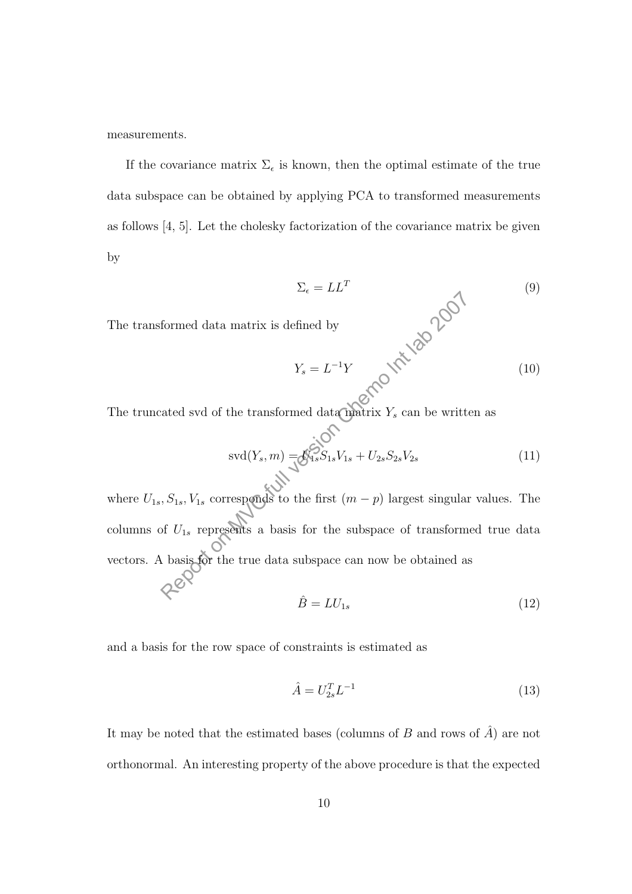measurements.

The transformed data matrix is d

If the covariance matrix  $\Sigma_{\epsilon}$  is known, then the optimal estimate of the true data subspace can be obtained by applying PCA to transformed measurements as follows [4, 5]. Let the cholesky factorization of the covariance matrix be given by

$$
\Sigma_{\epsilon} = LL^{T}
$$
\n
$$
\text{effined by}
$$
\n
$$
Y_{s} = L^{-1}Y
$$
\n
$$
Q^{\text{eff}} = \mathcal{L}^{-1}Y
$$
\n(10)

The truncated svd of the transformed data matrix  $Y_s$  can be written as

$$
svd(Y_s, m) = \delta_{1s}^{SO} S_{1s} V_{1s} + U_{2s} S_{2s} V_{2s}
$$
\n(11)

where  $U_{1s}$ ,  $S_{1s}$ ,  $V_{1s}$  corresponds to the first  $(m - p)$  largest singular values. The columns of  $U_{1s}$  represents a basis for the subspace of transformed true data vectors. A basis for the true data subspace can now be obtained as formed data matrix is defined by<br>  $Y_s = L^{-1}Y$ <br>
ated svd of the transformed data matrix  $Y_s$  can be writted<br>
svd $(Y_s, m) = \delta_{1s}^{i}S_{1s}V_{1s} + U_{2s}S_{2s}V_{2s}$ <br>  $S_{1s}$ ,  $S_{1s}$ ,  $V_{1s}$  corresponds to the first  $(m - p)$  largest

$$
\hat{B} = LU_{1s} \tag{12}
$$

and a basis for the row space of constraints is estimated as

$$
\hat{A} = U_{2s}^T L^{-1} \tag{13}
$$

It may be noted that the estimated bases (columns of  $B$  and rows of  $\hat{A}$ ) are not orthonormal. An interesting property of the above procedure is that the expected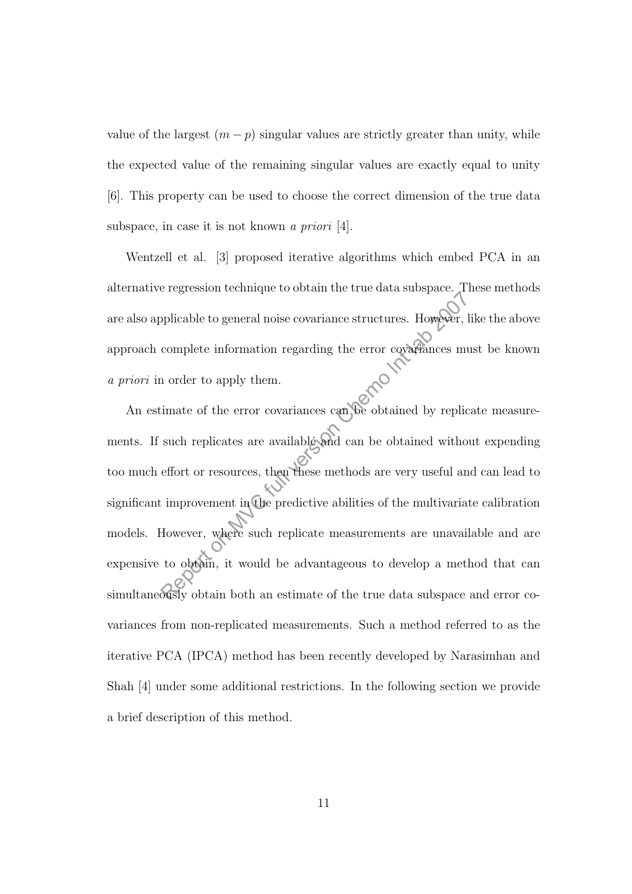value of the largest  $(m - p)$  singular values are strictly greater than unity, while the expected value of the remaining singular values are exactly equal to unity [6]. This property can be used to choose the correct dimension of the true data subspace, in case it is not known a priori [4].

Wentzell et al. [3] proposed iterative algorithms which embed PCA in an alternative regression technique to obtain the true data subspace. These methods are also applicable to general noise covariance structures. However, like the above approach complete information regarding the error covariances must be known a priori in order to apply them.

An estimate of the error covariances can be obtained by replicate measurements. If such replicates are available and can be obtained without expending too much effort or resources, then these methods are very useful and can lead to significant improvement in the predictive abilities of the multivariate calibration models. However, where such replicate measurements are unavailable and are expensive to obtain, it would be advantageous to develop a method that can simultaneously obtain both an estimate of the true data subspace and error covariances from non-replicated measurements. Such a method referred to as the iterative PCA (IPCA) method has been recently developed by Narasimhan and Shah [4] under some additional restrictions. In the following section we provide a brief description of this method. plicable to general noise covariance structures. However, l<br>complete information regarding the error covariances mu<br>and a chemo lead of the error covariances can be obtained by replic<br>such replicates are available and can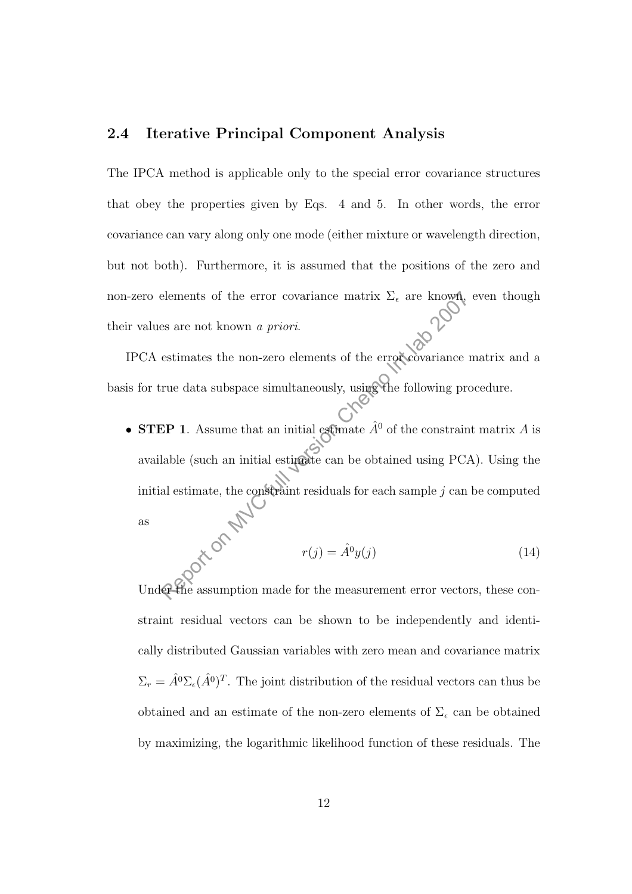### 2.4 Iterative Principal Component Analysis

The IPCA method is applicable only to the special error covariance structures that obey the properties given by Eqs. 4 and 5. In other words, the error covariance can vary along only one mode (either mixture or wavelength direction, but not both). Furthermore, it is assumed that the positions of the zero and non-zero elements of the error covariance matrix  $\Sigma_{\epsilon}$  are known, even though their values are not known a priori.

IPCA estimates the non-zero elements of the error covariance matrix and a basis for true data subspace simultaneously, using the following procedure.

• STEP 1. Assume that an initial estimate  $\hat{A}^0$  of the constraint matrix A is available (such an initial estimate can be obtained using PCA). Using the initial estimate, the constraint residuals for each sample *j* can be computed<br>as<br> $r(i) = \frac{2}{3}$ as belements of the error covariance matrix  $\Sigma_{\epsilon}$  are known<br>
es are not known *a priori*.<br>
estimates the non-zero elements of the error covariance r<br>
rue data subspace simultaneously, using the following properties<br>
EP 1.

$$
r(j) = \hat{A}^0 y(j) \tag{14}
$$

Under the assumption made for the measurement error vectors, these constraint residual vectors can be shown to be independently and identically distributed Gaussian variables with zero mean and covariance matrix  $\Sigma_r = \hat{A}^0 \Sigma_\epsilon (\hat{A}^0)^T$ . The joint distribution of the residual vectors can thus be obtained and an estimate of the non-zero elements of  $\Sigma_{\epsilon}$  can be obtained by maximizing, the logarithmic likelihood function of these residuals. The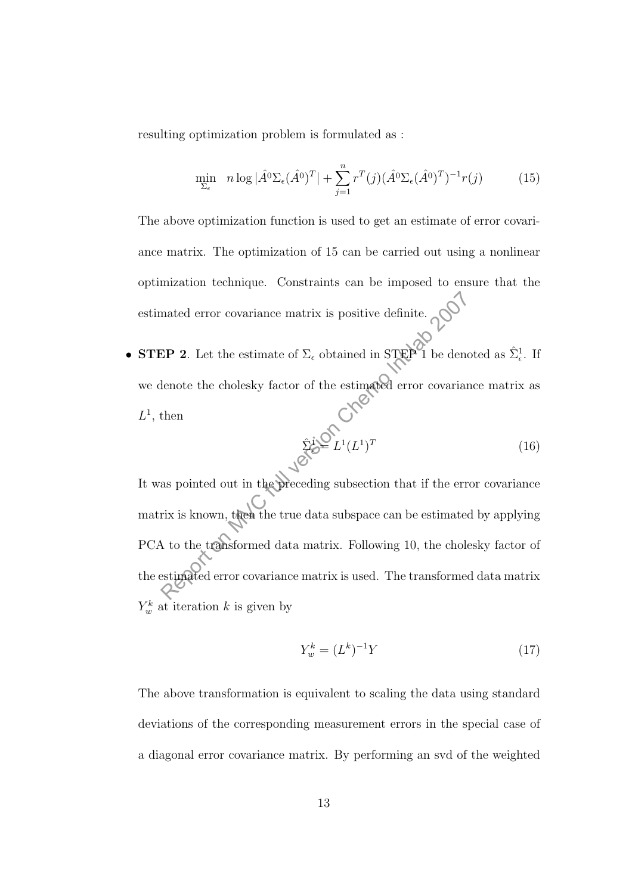resulting optimization problem is formulated as :

$$
\min_{\Sigma_{\epsilon}} \ n \log |\hat{A}^0 \Sigma_{\epsilon} (\hat{A}^0)^T| + \sum_{j=1}^n r^T(j) (\hat{A}^0 \Sigma_{\epsilon} (\hat{A}^0)^T)^{-1} r(j) \tag{15}
$$

The above optimization function is used to get an estimate of error covariance matrix. The optimization of 15 can be carried out using a nonlinear optimization technique. Constraints can be imposed to ensure that the estimated error covariance matrix is positive definite.  $\bigcirc^{\mathbb{Q}}$ 

• **STEP 2**. Let the estimate of  $\Sigma_{\epsilon}$  obtained in STEP 1 be denoted as  $\hat{\Sigma}_{\epsilon}^1$ . If we denote the cholesky factor of the estimated error covariance matrix as  $L^1$ , then

$$
\hat{\Sigma}^{\underline{i}\bullet\bullet} L^1 (L^1)^T \tag{16}
$$

It was pointed out in the preceding subsection that if the error covariance matrix is known, then the true data subspace can be estimated by applying PCA to the transformed data matrix. Following 10, the cholesky factor of the estimated error covariance matrix is used. The transformed data matrix  $Y_w^k$  at iteration k is given by mated error covariance matrix is positive definite.<br>
REP 2. Let the estimate of  $\Sigma_{\epsilon}$  obtained in STEP 1 be denote<br>
then<br>
then<br>  $\hat{\Sigma}_{\epsilon}^i \hat{\Sigma}_{\epsilon}^j L^1 (L^1)^T$ <br>
as pointed out in the preceding subsection that if the er

$$
Y_w^k = (L^k)^{-1} Y \tag{17}
$$

The above transformation is equivalent to scaling the data using standard deviations of the corresponding measurement errors in the special case of a diagonal error covariance matrix. By performing an svd of the weighted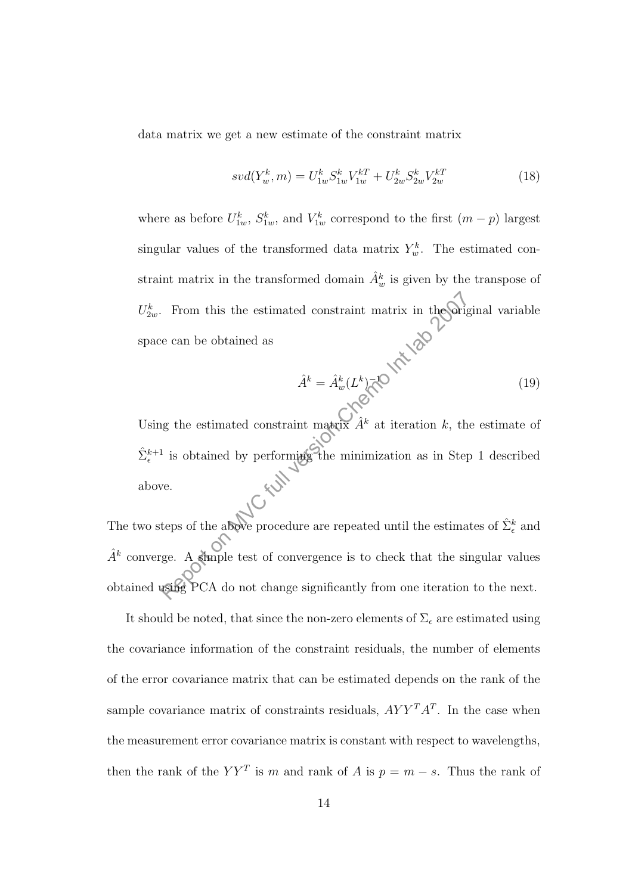data matrix we get a new estimate of the constraint matrix

$$
svd(Y_w^k, m) = U_{1w}^k S_{1w}^k V_{1w}^{kT} + U_{2w}^k S_{2w}^k V_{2w}^{kT}
$$
\n
$$
\tag{18}
$$

where as before  $U_{1w}^k$ ,  $S_{1w}^k$ , and  $V_{1w}^k$  correspond to the first  $(m-p)$  largest singular values of the transformed data matrix  $Y_w^k$ . The estimated constraint matrix in the transformed domain  $\hat{A}_w^k$  is given by the transpose of  $U_{2w}^k$ . From this the estimated constraint matrix in the original variable space can be obtained as

$$
\hat{A}^k = \hat{A}^k_w (L^k)^{-1} \tag{19}
$$

Using the estimated constraint matrix  $\hat{A}^k$  at iteration k, the estimate of  $\hat{\Sigma}_{\epsilon}^{k+1}$  is obtained by performing the minimization as in Step 1 described above. From this the estimated constraint matrix in the<br>Sorian can be obtained as  $\hat{A}^k = \hat{A}^k_w(L^k) \overline{\triangleleft}^k$  as the estimated constraint matrix<br> $\hat{A}^k$  at iteration  $k$ , the isobtained by performing the minimization as in

The two steps of the above procedure are repeated until the estimates of  $\hat{\Sigma}_{\epsilon}^{k}$  and  $\hat{A}^k$  converge. A simple test of convergence is to check that the singular values obtained using PCA do not change significantly from one iteration to the next.

It should be noted, that since the non-zero elements of  $\Sigma_{\epsilon}$  are estimated using the covariance information of the constraint residuals, the number of elements of the error covariance matrix that can be estimated depends on the rank of the sample covariance matrix of constraints residuals,  $AYY^T A^T$ . In the case when the measurement error covariance matrix is constant with respect to wavelengths, then the rank of the  $YY<sup>T</sup>$  is m and rank of A is  $p = m - s$ . Thus the rank of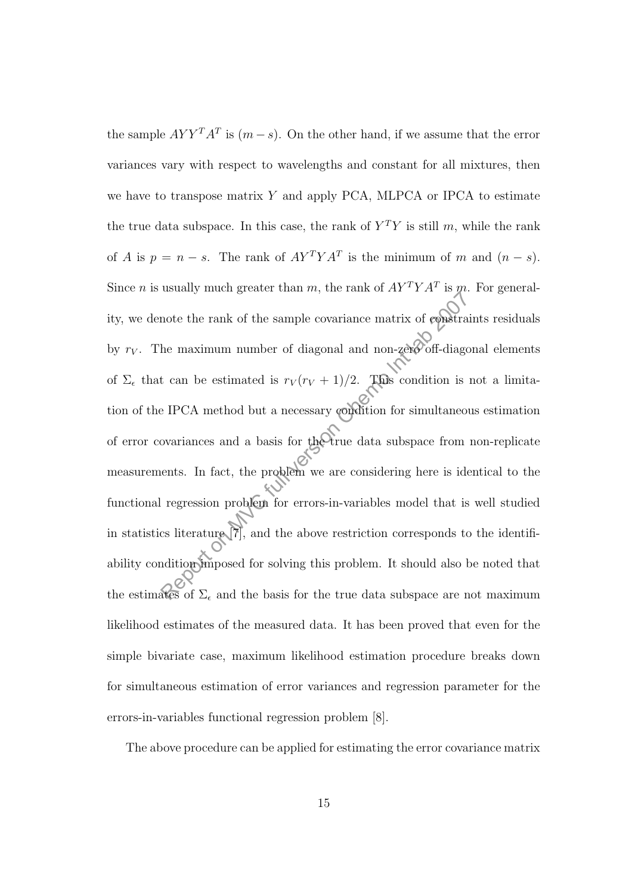the sample  $AYY^T A^T$  is  $(m - s)$ . On the other hand, if we assume that the error variances vary with respect to wavelengths and constant for all mixtures, then we have to transpose matrix  $Y$  and apply PCA, MLPCA or IPCA to estimate the true data subspace. In this case, the rank of  $Y<sup>T</sup>Y$  is still m, while the rank of A is  $p = n - s$ . The rank of  $AY^T Y A^T$  is the minimum of m and  $(n - s)$ . Since *n* is usually much greater than *m*, the rank of  $AY^TYA^T$  is *m*. For generality, we denote the rank of the sample covariance matrix of constraints residuals by  $r_V$ . The maximum number of diagonal and non-zero off-diagonal elements of  $\Sigma_{\epsilon}$  that can be estimated is  $r_V (r_V + 1)/2$ . This condition is not a limitation of the IPCA method but a necessary condition for simultaneous estimation of error covariances and a basis for the true data subspace from non-replicate measurements. In fact, the problem we are considering here is identical to the functional regression problem for errors-in-variables model that is well studied in statistics literature  $\left[\overline{7}\right]$ , and the above restriction corresponds to the identifiability condition imposed for solving this problem. It should also be noted that the estimates of  $\Sigma_{\epsilon}$  and the basis for the true data subspace are not maximum likelihood estimates of the measured data. It has been proved that even for the simple bivariate case, maximum likelihood estimation procedure breaks down for simultaneous estimation of error variances and regression parameter for the errors-in-variables functional regression problem [8]. mote the rank of the sample covariance matrix of **constration**<br>he maximum number of diagonal and non-zero off-diagonal chame maximum number of diagonal and non-zero off-diagonal chame<br>is PCA method but a necessary conditi

The above procedure can be applied for estimating the error covariance matrix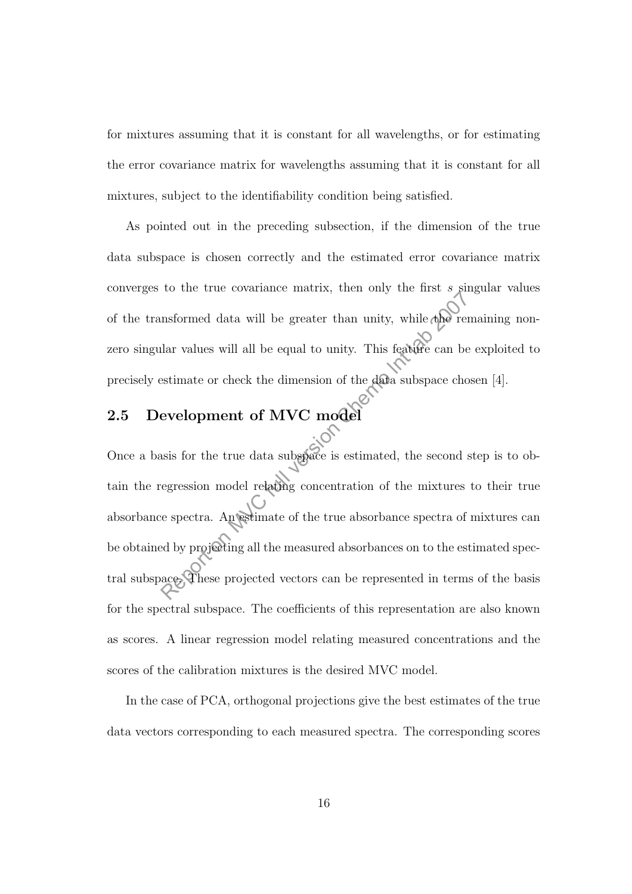for mixtures assuming that it is constant for all wavelengths, or for estimating the error covariance matrix for wavelengths assuming that it is constant for all mixtures, subject to the identifiability condition being satisfied.

As pointed out in the preceding subsection, if the dimension of the true data subspace is chosen correctly and the estimated error covariance matrix converges to the true covariance matrix, then only the first  $s$  singular values of the transformed data will be greater than unity, while  $\phi$  remaining nonzero singular values will all be equal to unity. This feature can be exploited to precisely estimate or check the dimension of the data subspace chosen [4].

## 2.5 Development of MVC model

Once a basis for the true data subspace is estimated, the second step is to obtain the regression model relating concentration of the mixtures to their true absorbance spectra. An estimate of the true absorbance spectra of mixtures can be obtained by projecting all the measured absorbances on to the estimated spectral subspace. These projected vectors can be represented in terms of the basis for the spectral subspace. The coefficients of this representation are also known as scores. A linear regression model relating measured concentrations and the scores of the calibration mixtures is the desired MVC model. reported data will be greater than unity, while the relation of the status will all be equal to unity. This feature can be estimate or check the dimension of the data subspace cho evelopment of MVC model assumed in the sec

In the case of PCA, orthogonal projections give the best estimates of the true data vectors corresponding to each measured spectra. The corresponding scores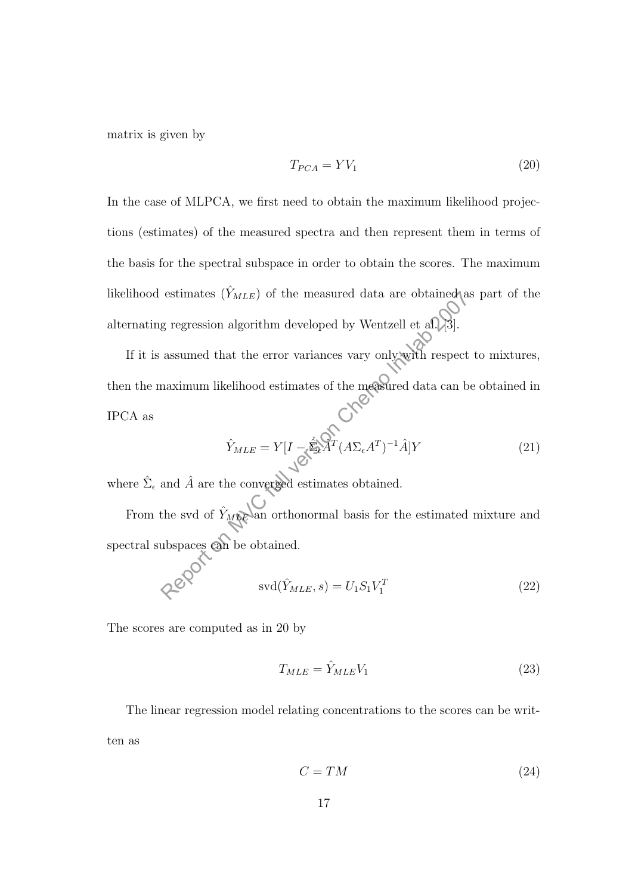matrix is given by

$$
T_{PCA} = YV_1 \tag{20}
$$

In the case of MLPCA, we first need to obtain the maximum likelihood projections (estimates) of the measured spectra and then represent them in terms of the basis for the spectral subspace in order to obtain the scores. The maximum likelihood estimates  $(\hat{Y}_{MLE})$  of the measured data are obtained as part of the alternating regression algorithm developed by Wentzell et al.  $[3]$ .

If it is assumed that the error variances vary only with respect to mixtures, then the maximum likelihood estimates of the measured data can be obtained in IPCA as estimates  $(Y_{MLE})$  of the measured data are obtained<br>a gregression algorithm developed by Wentzell et al. [3].<br>assumed that the error variances vary only with respect<br>naximum likelihood estimates of the measured data can b<br>

$$
\hat{Y}_{MLE} = Y[I - \hat{\Sigma} \hat{A}^T (A \Sigma_{\epsilon} A^T)^{-1} \hat{A}] Y \tag{21}
$$

where  $\hat{\Sigma}_{\epsilon}$  and  $\hat{A}$  are the converged estimates obtained.

From the svd of  $\hat{Y}_{\text{MME}}$  an orthonormal basis for the estimated mixture and spectral subspaces can be obtained.

$$
\text{svd}(\hat{Y}_{MLE}, s) = U_1 S_1 V_1^T \tag{22}
$$

The scores are computed as in 20 by

$$
T_{MLE} = \hat{Y}_{MLE}V_1
$$
\n(23)

The linear regression model relating concentrations to the scores can be written as

$$
C = TM \tag{24}
$$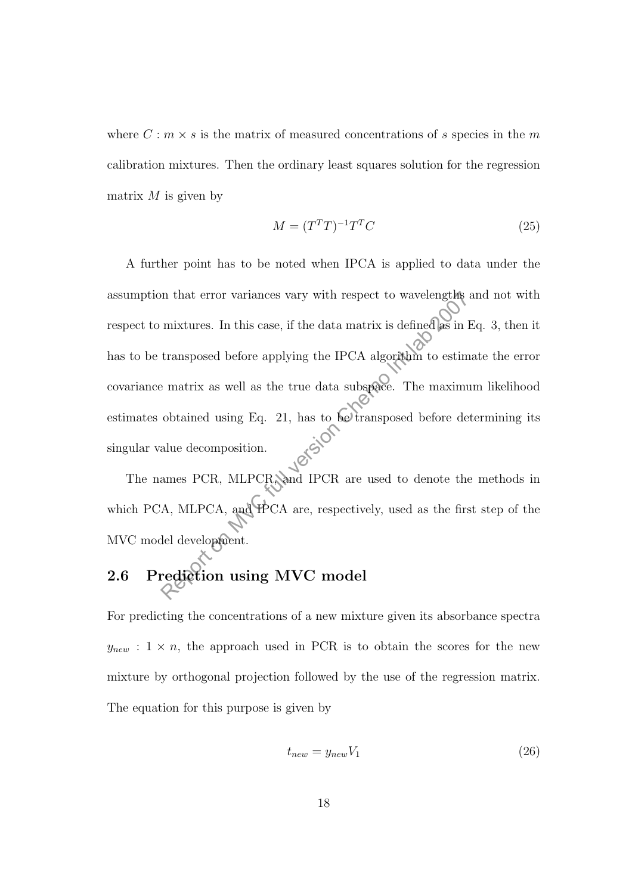where  $C: m \times s$  is the matrix of measured concentrations of s species in the m calibration mixtures. Then the ordinary least squares solution for the regression matrix  $M$  is given by

$$
M = (T^T T)^{-1} T^T C \tag{25}
$$

A further point has to be noted when IPCA is applied to data under the assumption that error variances vary with respect to wavelengths and not with respect to mixtures. In this case, if the data matrix is defined as in Eq. 3, then it has to be transposed before applying the IPCA algorithm to estimate the error covariance matrix as well as the true data subspace. The maximum likelihood estimates obtained using Eq. 21, has to be transposed before determining its singular value decomposition. In that error variances vary with respect to wavelengths<br>
mixtures. In this case, if the data matrix is defined as in 1<br>
transposed before applying the IPCA algorithm to estim<br>
ematrix as well as the true data subspace. Th

The names PCR, MLPCR, and IPCR are used to denote the methods in which PCA, MLPCA, and IPCA are, respectively, used as the first step of the MVC model development.

# 2.6 Prediction using MVC model

For predicting the concentrations of a new mixture given its absorbance spectra  $y_{new}$ : 1 × n, the approach used in PCR is to obtain the scores for the new mixture by orthogonal projection followed by the use of the regression matrix. The equation for this purpose is given by

$$
t_{new} = y_{new} V_1 \tag{26}
$$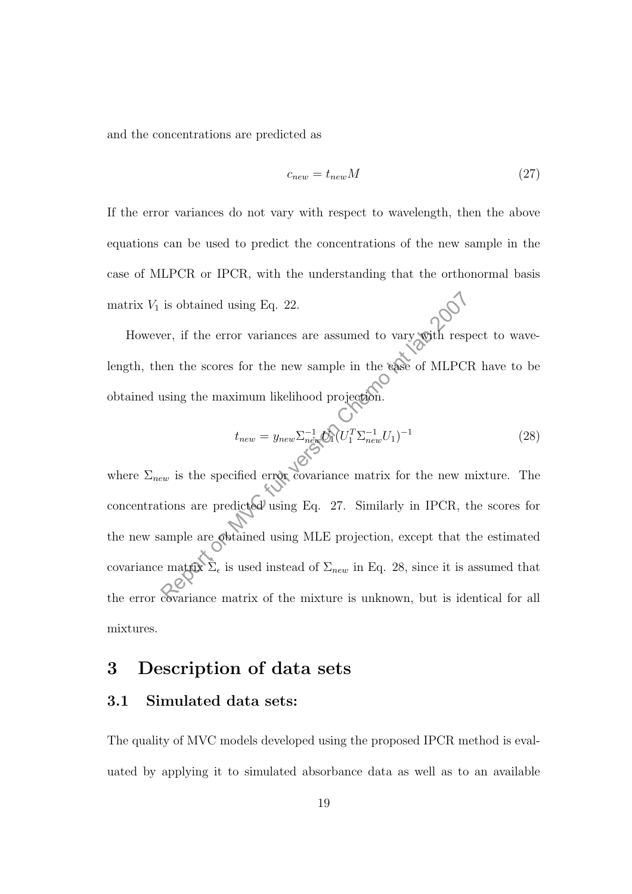and the concentrations are predicted as

$$
c_{new} = t_{new}M\tag{27}
$$

If the error variances do not vary with respect to wavelength, then the above equations can be used to predict the concentrations of the new sample in the case of MLPCR or IPCR, with the understanding that the orthonormal basis matrix  $V_1$  is obtained using Eq. 22.

However, if the error variances are assumed to vary with respect to wavelength, then the scores for the new sample in the case of MLPCR have to be obtained using the maximum likelihood projection.

$$
t_{new} = y_{new} \sum_{\substack{n \text{ew}} \atop n \text{new}} \sum_{\substack{n \text{ew}} \atop n \text{new}} \sum_{l=1}^{n-1} (U_1^T \sum_{n \text{ew}} \sum_{l}^{n-1} U_1)^{-1}
$$
\n
$$
(28)
$$

where  $\Sigma_{new}$  is the specified error covariance matrix for the new mixture. The concentrations are predicted using Eq. 27. Similarly in IPCR, the scores for the new sample are obtained using MLE projection, except that the estimated covariance matrix  $\hat{\Sigma}_{\epsilon}$  is used instead of  $\Sigma_{new}$  in Eq. 28, since it is assumed that the error covariance matrix of the mixture is unknown, but is identical for all mixtures. is obtained using Eq. 22.<br>
er, if the error variances are assumed to vary with respectively and the series of MLPCI<br>
using the maximum likelihood projection.<br>  $t_{new} = y_{new} \sum_{n \in \mathbb{Z}} \hat{C}_n (U_1^T \Sigma_{new}^{-1} U_1)^{-1}$ <br>  $t_{new}$  is

## 3 Description of data sets

#### 3.1 Simulated data sets:

The quality of MVC models developed using the proposed IPCR method is evaluated by applying it to simulated absorbance data as well as to an available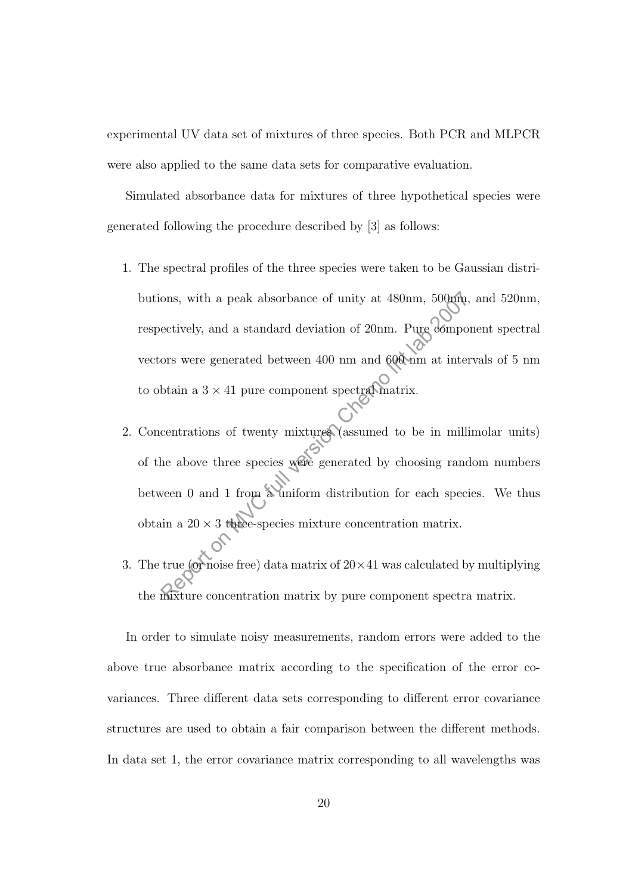experimental UV data set of mixtures of three species. Both PCR and MLPCR were also applied to the same data sets for comparative evaluation.

Simulated absorbance data for mixtures of three hypothetical species were generated following the procedure described by [3] as follows:

- 1. The spectral profiles of the three species were taken to be Gaussian distributions, with a peak absorbance of unity at 480nm, 500nm, and 520nm, respectively, and a standard deviation of 20nm. Pure component spectral vectors were generated between 400 nm and 600 nm at intervals of 5 nm to obtain a  $3\times 41$  pure component spectral matrix. ons, with a peak absorbance of unity at 480nm, 500pm,<br>ectively, and a standard deviation of 20nm. Pure dompo<br>ors were generated between 400 nm and 6000nm at inter<br>btain a 3 × 41 pure component spectral matrix.<br>centrations
- 2. Concentrations of twenty mixtures (assumed to be in millimolar units) of the above three species were generated by choosing random numbers between 0 and 1 from a uniform distribution for each species. We thus obtain a  $20 \times 3$  three-species mixture concentration matrix.
- 3. The true (or noise free) data matrix of  $20 \times 41$  was calculated by multiplying the mixture concentration matrix by pure component spectra matrix.

In order to simulate noisy measurements, random errors were added to the above true absorbance matrix according to the specification of the error covariances. Three different data sets corresponding to different error covariance structures are used to obtain a fair comparison between the different methods. In data set 1, the error covariance matrix corresponding to all wavelengths was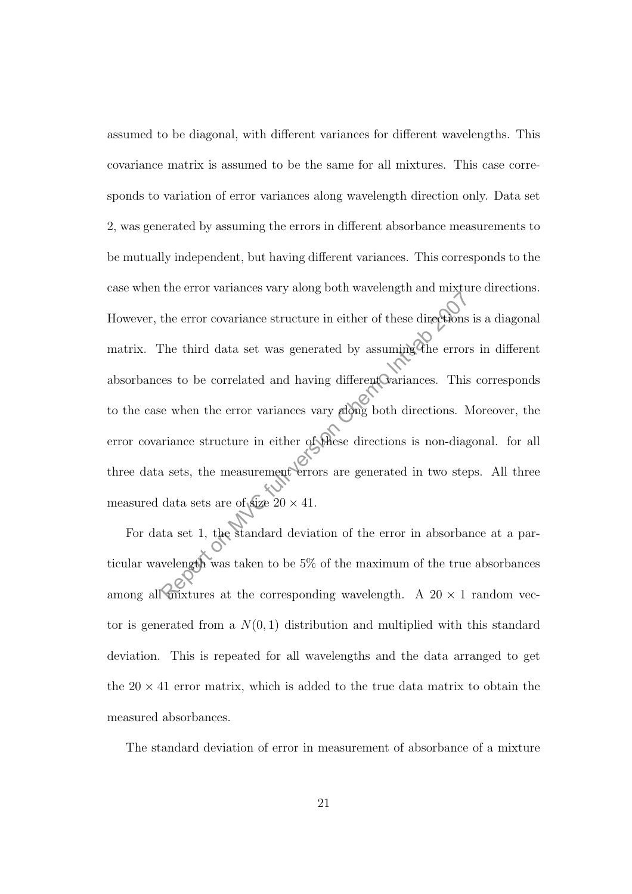assumed to be diagonal, with different variances for different wavelengths. This covariance matrix is assumed to be the same for all mixtures. This case corresponds to variation of error variances along wavelength direction only. Data set 2, was generated by assuming the errors in different absorbance measurements to be mutually independent, but having different variances. This corresponds to the case when the error variances vary along both wavelength and mixture directions. However, the error covariance structure in either of these directions is a diagonal matrix. The third data set was generated by assuming the errors in different absorbances to be correlated and having different variances. This corresponds to the case when the error variances vary along both directions. Moreover, the error covariance structure in either of these directions is non-diagonal. for all three data sets, the measurement errors are generated in two steps. All three measured data sets are of size  $20 \times 41$ . the error covariance structure in either of these directions<br>The third data set was generated by assuming the error<br>ces to be correlated and having different Cariances. This<br>e when the error variances vary along both dire

For data set 1, the standard deviation of the error in absorbance at a particular wavelength was taken to be 5% of the maximum of the true absorbances among all mixtures at the corresponding wavelength. A  $20 \times 1$  random vector is generated from a  $N(0, 1)$  distribution and multiplied with this standard deviation. This is repeated for all wavelengths and the data arranged to get the  $20 \times 41$  error matrix, which is added to the true data matrix to obtain the measured absorbances.

The standard deviation of error in measurement of absorbance of a mixture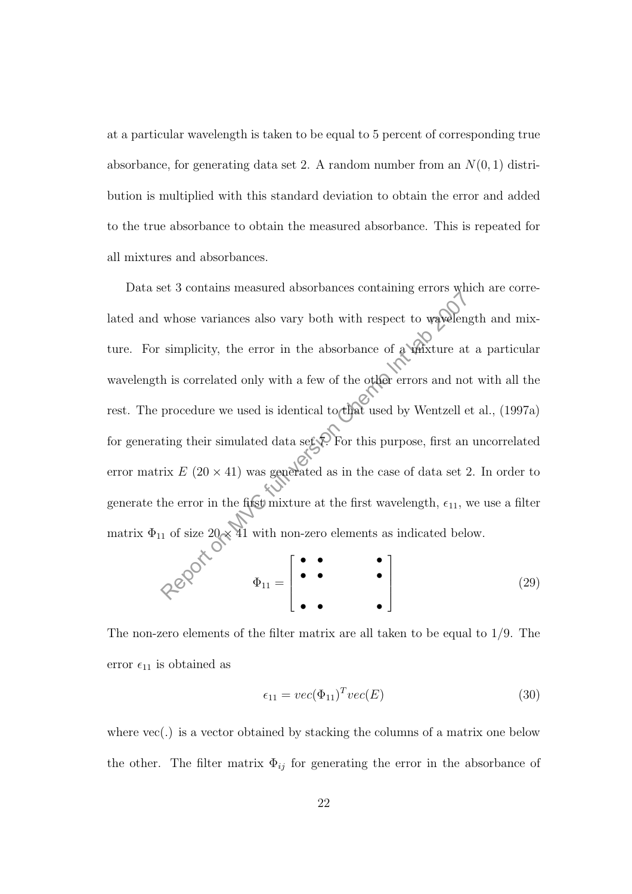at a particular wavelength is taken to be equal to 5 percent of corresponding true absorbance, for generating data set 2. A random number from an  $N(0, 1)$  distribution is multiplied with this standard deviation to obtain the error and added to the true absorbance to obtain the measured absorbance. This is repeated for all mixtures and absorbances.

Data set 3 contains measured absorbances containing errors which are correlated and whose variances also vary both with respect to wavelength and mixture. For simplicity, the error in the absorbance of a mixture at a particular wavelength is correlated only with a few of the other errors and not with all the rest. The procedure we used is identical to that used by Wentzell et al., (1997a) for generating their simulated data set  $\ddot{x}$ . For this purpose, first an uncorrelated error matrix  $E(20 \times 41)$  was generated as in the case of data set 2. In order to generate the error in the first mixture at the first wavelength,  $\epsilon_{11}$ , we use a filter matrix  $\Phi_{11}$  of size  $20 \times 41$  with non-zero elements as indicated below. whose variances also vary both with respect to wavelength simplicity, the error in the absorbance of a writture at the is correlated only with a few of the other errors and no procedure we used is identical to that used b

$$
\rho \circ \phi^{\circ} \qquad \Phi_{11} = \begin{bmatrix} \bullet & \bullet & & \bullet \\ \bullet & \bullet & & \bullet \\ \bullet & \bullet & & \bullet \end{bmatrix} \tag{29}
$$

The non-zero elements of the filter matrix are all taken to be equal to 1/9. The error  $\epsilon_{11}$  is obtained as

$$
\epsilon_{11} = vec(\Phi_{11})^T vec(E) \tag{30}
$$

where  $\text{vec}(\cdot)$  is a vector obtained by stacking the columns of a matrix one below the other. The filter matrix  $\Phi_{ij}$  for generating the error in the absorbance of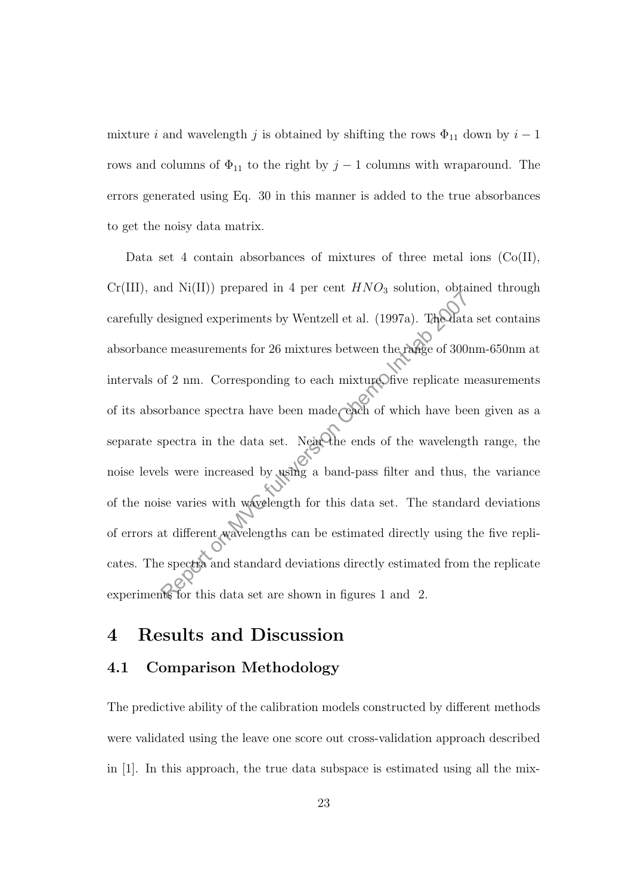mixture i and wavelength j is obtained by shifting the rows  $\Phi_{11}$  down by  $i-1$ rows and columns of  $\Phi_{11}$  to the right by  $j-1$  columns with wraparound. The errors generated using Eq. 30 in this manner is added to the true absorbances to get the noisy data matrix.

Data set 4 contain absorbances of mixtures of three metal ions  $(Co(II),$  $Cr(III)$ , and  $Ni(II)$  prepared in 4 per cent  $HNO<sub>3</sub>$  solution, obtained through carefully designed experiments by Wentzell et al. (1997a). The data set contains absorbance measurements for 26 mixtures between the range of 300nm-650nm at intervals of  $2$  nm. Corresponding to each mixture, five replicate measurements of its absorbance spectra have been made, each of which have been given as a separate spectra in the data set. Near the ends of the wavelength range, the noise levels were increased by using a band-pass filter and thus, the variance of the noise varies with wavelength for this data set. The standard deviations of errors at different wavelengths can be estimated directly using the five replicates. The spectra and standard deviations directly estimated from the replicate experiments for this data set are shown in figures 1 and 2. Reported an Figure 111 Constraint, and the set of a discussional designed experiments by Wentzell et al. (1997a). The data is enconsuments for 26 mixtures between the range of 300 of 2 nm. Corresponding to each mixture of

## 4 Results and Discussion

### 4.1 Comparison Methodology

The predictive ability of the calibration models constructed by different methods were validated using the leave one score out cross-validation approach described in [1]. In this approach, the true data subspace is estimated using all the mix-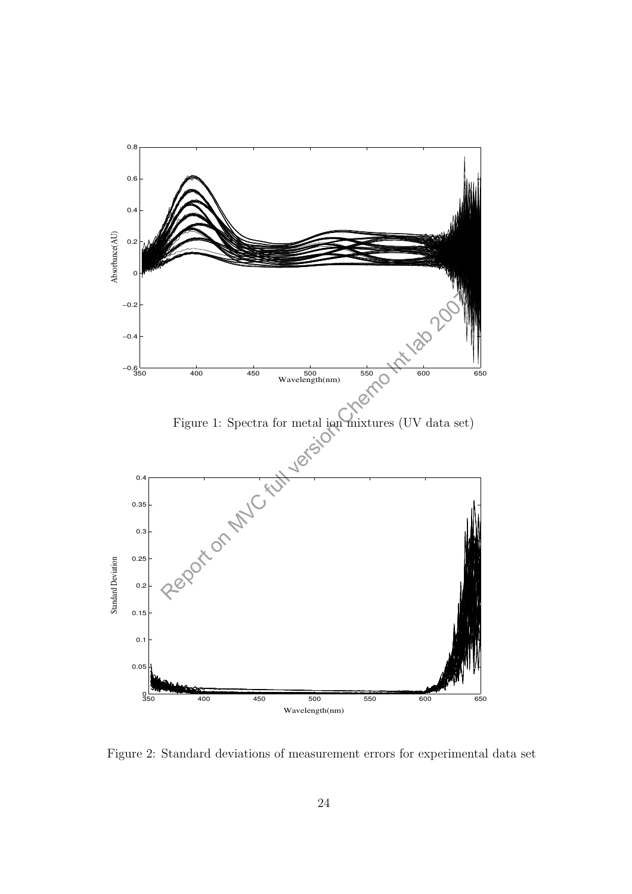

Figure 2: Standard deviations of measurement errors for experimental data set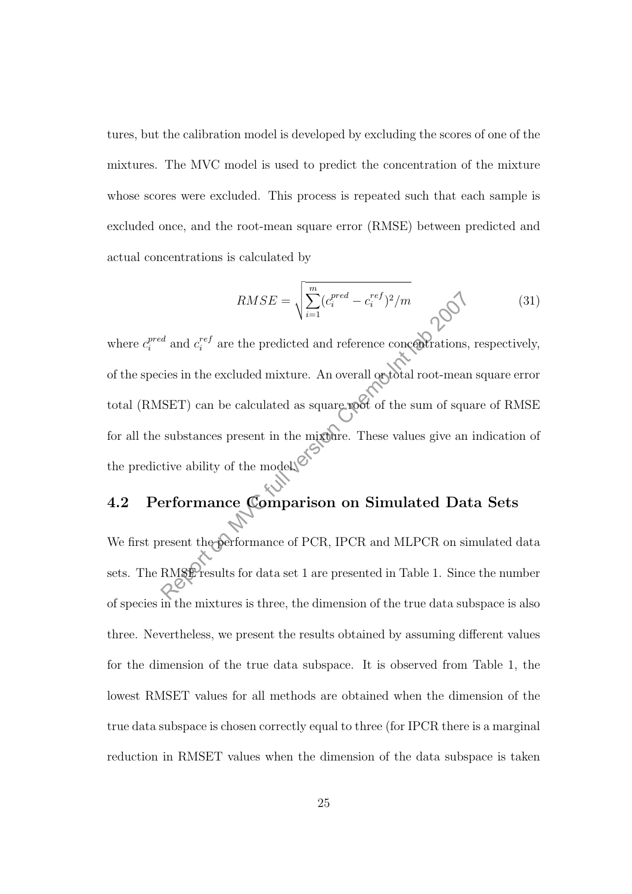tures, but the calibration model is developed by excluding the scores of one of the mixtures. The MVC model is used to predict the concentration of the mixture whose scores were excluded. This process is repeated such that each sample is excluded once, and the root-mean square error (RMSE) between predicted and actual concentrations is calculated by

$$
RMSE = \sqrt{\sum_{i=1}^{m} (c_i^{pred} - c_i^{ref})^2 / m}
$$
 (31)

where  $c_i^{pred}$  and  $c_i^{ref}$  are the predicted and reference concentrations, respectively, of the species in the excluded mixture. An overall or total root-mean square error total (RMSET) can be calculated as square root of the sum of square of RMSE for all the substances present in the mixture. These values give an indication of the predictive ability of the model.  $\mathbb{C}$  $RMSE = \sqrt{\sum_{i=1}^{c} (c_i^{pred} - c_i^{ref})^2/m}$ <br>
d'and  $c_i^{ref}$  are the predicted and reference concentrations,<br>
cies in the excluded mixture. An overall optotal root-mear<br>
SET) can be calculated as square poot of the sum of squ<br>
substa

## 4.2 Performance Comparison on Simulated Data Sets

We first present the performance of PCR, IPCR and MLPCR on simulated data sets. The RMSE results for data set 1 are presented in Table 1. Since the number of species in the mixtures is three, the dimension of the true data subspace is also three. Nevertheless, we present the results obtained by assuming different values for the dimension of the true data subspace. It is observed from Table 1, the lowest RMSET values for all methods are obtained when the dimension of the true data subspace is chosen correctly equal to three (for IPCR there is a marginal reduction in RMSET values when the dimension of the data subspace is taken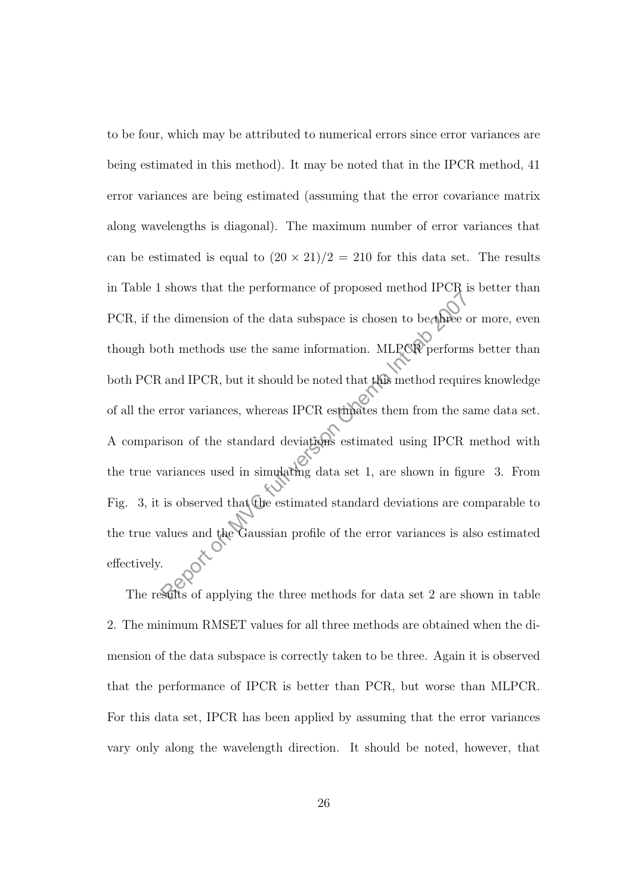to be four, which may be attributed to numerical errors since error variances are being estimated in this method). It may be noted that in the IPCR method, 41 error variances are being estimated (assuming that the error covariance matrix along wavelengths is diagonal). The maximum number of error variances that can be estimated is equal to  $(20 \times 21)/2 = 210$  for this data set. The results in Table 1 shows that the performance of proposed method IPCR is better than PCR, if the dimension of the data subspace is chosen to be three or more, even though both methods use the same information. MLPCR performs better than both PCR and IPCR, but it should be noted that this method requires knowledge of all the error variances, whereas IPCR estimates them from the same data set. A comparison of the standard deviations estimated using IPCR method with the true variances used in simulating data set 1, are shown in figure 3. From Fig. 3, it is observed that the estimated standard deviations are comparable to the true values and the Gaussian profile of the error variances is also estimated effectively. Representative of proposed momedia 2007.<br>
The dimension of the data subspace is chosen to be three c<br>
th methods use the same information. MLPCR perform<br>
and IPCR, but it should be noted that this method require<br>
error var

The results of applying the three methods for data set 2 are shown in table 2. The minimum RMSET values for all three methods are obtained when the dimension of the data subspace is correctly taken to be three. Again it is observed that the performance of IPCR is better than PCR, but worse than MLPCR. For this data set, IPCR has been applied by assuming that the error variances vary only along the wavelength direction. It should be noted, however, that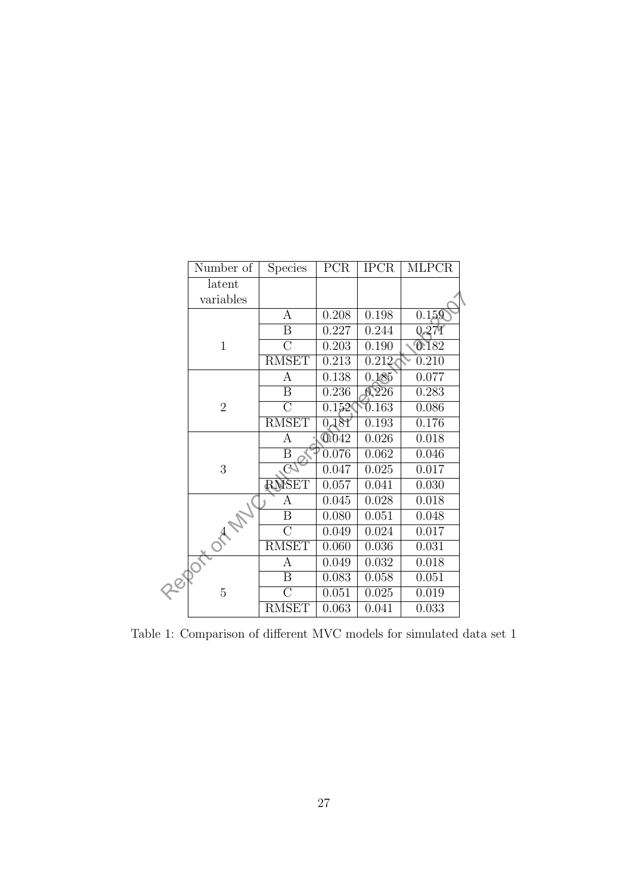| Number of      | <b>Species</b>     | PCR                          | <b>IPCR</b> | <b>MLPCR</b> |
|----------------|--------------------|------------------------------|-------------|--------------|
| latent         |                    |                              |             |              |
| variables      |                    |                              |             |              |
|                | А                  | 0.208                        | 0.198       | 0.159        |
|                | B                  | 0.227                        | 0.244       | 0,274        |
| $\mathbf{1}$   | $\overline{C}$     | 0.203                        | 0.190       | 0.182        |
|                | <b>RMSET</b>       | 0.213                        | 0.212       | 0.210        |
|                | A                  | 0.138                        | 0.185       | 0.077        |
|                | B                  | 0.236                        | 0.226       | 0.283        |
| $\overline{2}$ | $\overline{C}$     | 0.152                        | 0.163       | 0.086        |
|                | <b>RMSET</b>       | 0.181                        | 0.193       | 0.176        |
|                | Α                  | 0.042                        | 0.026       | 0.018        |
|                | B                  | 0.076                        | 0.062       | 0.046        |
| 3              |                    | 0.047                        | 0.025       | 0.017        |
|                | <b>RMSET</b>       | 0.057                        | 0.041       | 0.030        |
|                | А                  | 0.045                        | 0.028       | 0.018        |
|                | Β                  | $\overline{0.080}$           | 0.051       | 0.048        |
|                | $\overline{C}$     | 0.049                        | 0.024       | 0.017        |
|                |                    | 0.060                        |             | 0.031        |
|                | А                  | 0.049                        | 0.032       | 0.018        |
|                | B                  | 0.083                        | 0.058       | 0.051        |
| 5              | $\overline{\rm C}$ | 0.051                        | 0.025       | 0.019        |
|                | <b>RMSET</b>       | 0.063                        | 0.041       | 0.033        |
|                | OTA MY<br>CODO-    | $\mathbb{C}$<br><b>RMSET</b> |             | 0.036        |

Table 1: Comparison of different MVC models for simulated data set 1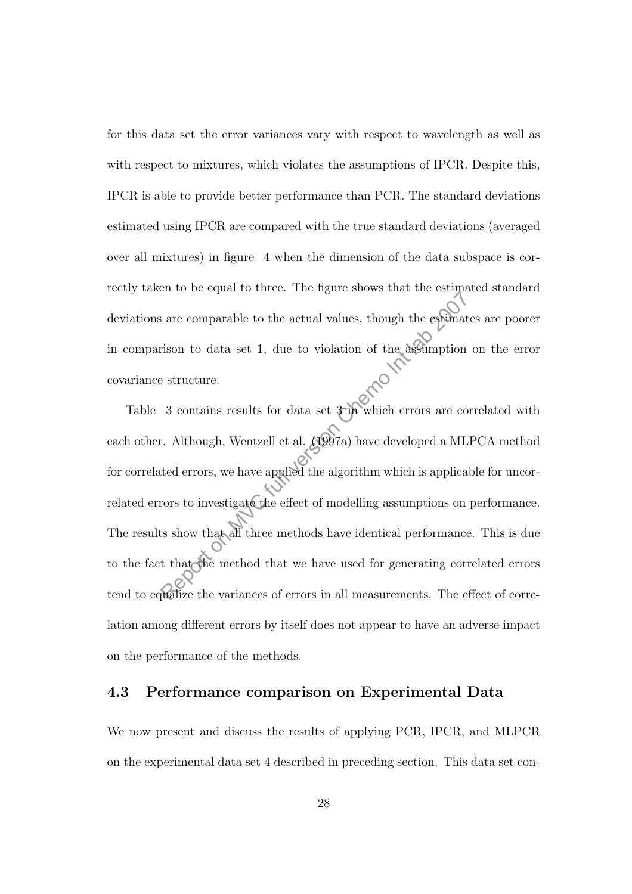for this data set the error variances vary with respect to wavelength as well as with respect to mixtures, which violates the assumptions of IPCR. Despite this, IPCR is able to provide better performance than PCR. The standard deviations estimated using IPCR are compared with the true standard deviations (averaged over all mixtures) in figure 4 when the dimension of the data subspace is correctly taken to be equal to three. The figure shows that the estimated standard deviations are comparable to the actual values, though the estimates are poorer in comparison to data set 1, due to violation of the assumption on the error covariance structure.

Table 3 contains results for data set 3 in which errors are correlated with each other. Although, Wentzell et al.  $(1997a)$  have developed a MLPCA method for correlated errors, we have applied the algorithm which is applicable for uncorrelated errors to investigate the effect of modelling assumptions on performance. The results show that all three methods have identical performance. This is due to the fact that the method that we have used for generating correlated errors tend to equalize the variances of errors in all measurements. The effect of correlation among different errors by itself does not appear to have an adverse impact on the performance of the methods. France comparable to the actual values, though the estimated are comparable to the actual values, though the estimated is the contains results for data set  $\frac{1}{200}$  which errors are contains results for data set  $\frac{1}{2$ 

### 4.3 Performance comparison on Experimental Data

We now present and discuss the results of applying PCR, IPCR, and MLPCR on the experimental data set 4 described in preceding section. This data set con-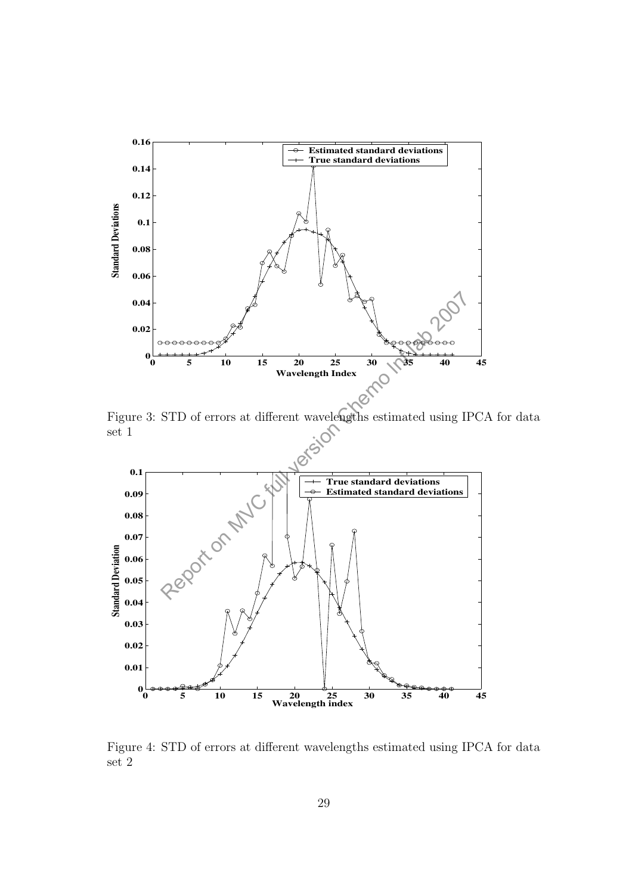

Figure 3: STD of errors at different wavelengths estimated using IPCA for data set 1



Figure 4: STD of errors at different wavelengths estimated using IPCA for data set 2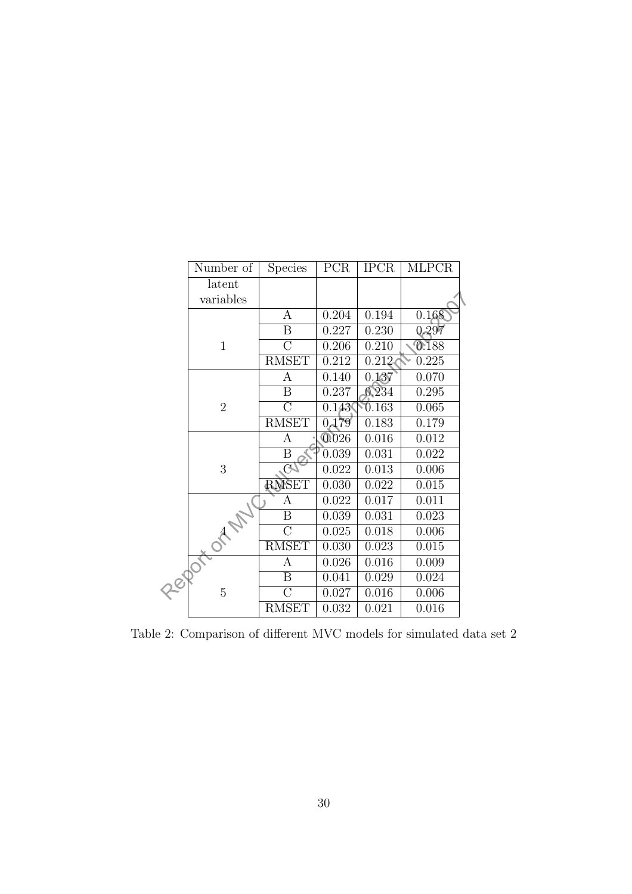| Number of      | <b>Species</b>          | PCR                                                            | <b>IPCR</b> | <b>MLPCR</b> |  |
|----------------|-------------------------|----------------------------------------------------------------|-------------|--------------|--|
| latent         |                         |                                                                |             |              |  |
| variables      |                         |                                                                |             |              |  |
|                | А                       | 0.204                                                          | 0.194       | 0.168        |  |
|                | Β                       | 0.227                                                          | 0.230       | 0.297        |  |
| $\mathbf{1}$   | $\overline{\rm C}$      | 0.206                                                          | 0.210       | 0.188        |  |
|                | <b>RMSET</b>            | 0.212                                                          | 0.212       | 0.225        |  |
|                | А                       | 0.140                                                          | 0.137       | 0.070        |  |
|                | $\boldsymbol{B}$        | 0.237                                                          | 0.234       | 0.295        |  |
| $\overline{2}$ | $\overline{C}$          | 0.143                                                          | 0.163       | 0.065        |  |
|                | <b>RMSET</b>            |                                                                | 0.183       | 0.179        |  |
|                | Α                       | 0.026                                                          | 0.016       | 0.012        |  |
|                | B                       | 0.039                                                          | 0.031       | 0.022        |  |
| 3              |                         | 0.022                                                          |             | 0.006        |  |
|                |                         | 0.030                                                          | 0.022       | 0.015        |  |
|                | А                       | 0.022                                                          | 0.017       | 0.011        |  |
|                | $\overline{\mathrm{B}}$ | 0.039                                                          | 0.031       | 0.023        |  |
|                |                         | 0.025                                                          | 0.018       | 0.006        |  |
|                |                         | 0.030                                                          | 0.023       | 0.015        |  |
|                | А                       | 0.026                                                          | 0.016       | 0.009        |  |
|                | B                       | 0.041                                                          | 0.029       | 0.024        |  |
| $\overline{5}$ | $\overline{\rm C}$      | 0.027                                                          | 0.016       | 0.006        |  |
|                | <b>RMSET</b>            | 0.032                                                          | 0.021       | 0.016        |  |
|                | OTHITIC O<br>GBOY       | $\mathbb{G}$<br><b>RMSET</b><br>$\overline{C}$<br><b>RMSET</b> | 0.179       | 0.013        |  |

Table 2: Comparison of different MVC models for simulated data set 2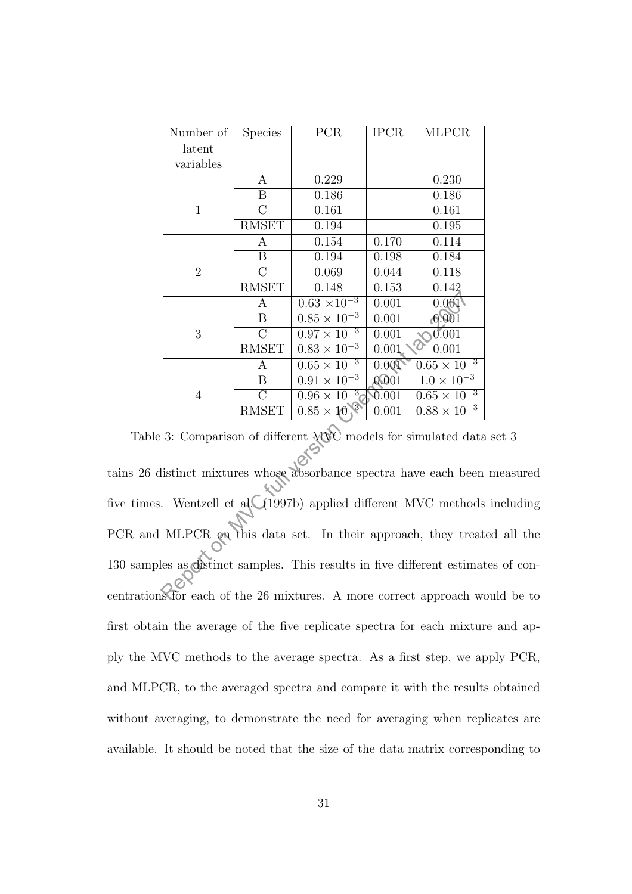| Number of      | <b>Species</b>   | PCR                              | <b>IPCR</b>        | <b>MLPCR</b>          |
|----------------|------------------|----------------------------------|--------------------|-----------------------|
| latent         |                  |                                  |                    |                       |
| variables      |                  |                                  |                    |                       |
|                | A                | 0.229                            |                    | 0.230                 |
|                | B                | 0.186                            |                    | 0.186                 |
| $\mathbf{1}$   | $\overline{C}$   | 0.161                            |                    | 0.161                 |
|                | <b>RMSET</b>     | 0.194                            |                    | 0.195                 |
|                | А                | 0.154                            | 0.170              | 0.114                 |
|                | $\boldsymbol{B}$ | 0.194                            | 0.198              | 0.184                 |
| $\overline{2}$ | $\overline{C}$   | 0.069                            | 0.044              | 0.118                 |
|                | <b>RMSET</b>     | 0.148                            | 0.153              | 0.142                 |
|                | А                | $0.63 \times 10^{-3}$            | 0.001              | 0.001                 |
|                | B                | $0.85 \times 10^{-3}$            | 0.001              | 0.001                 |
| 3              | $\overline{C}$   | $0.\overline{97 \times 10^{-3}}$ | 0.001              | 0.001                 |
|                | <b>RMSET</b>     | $0.83 \times 10^{-3}$            | 0.001              | 0.001                 |
|                | $\boldsymbol{A}$ | $0.65 \times 10^{-3}$            | 0.001              | $0.65 \times 10^{-3}$ |
|                | $\overline{B}$   | $0.91 \times 10^{-3}$            | 0.001              | $1.0 \times 10^{-3}$  |
| 4              | $\overline{C}$   | $0.96 \times 10^{-3}$            | $\overline{0.001}$ | $0.65 \times 10^{-3}$ |
|                | <b>RMSET</b>     | $0.85 \times 10^{-3}$            | 0.001              | $0.88 \times 10^{-3}$ |

Table 3: Comparison of different MVC models for simulated data set 3

tains 26 distinct mixtures whose absorbance spectra have each been measured five times. Wentzell et al. (1997b) applied different MVC methods including PCR and MLPCR on this data set. In their approach, they treated all the 130 samples as distinct samples. This results in five different estimates of concentrations for each of the 26 mixtures. A more correct approach would be to first obtain the average of the five replicate spectra for each mixture and apply the MVC methods to the average spectra. As a first step, we apply PCR, and MLPCR, to the averaged spectra and compare it with the results obtained without averaging, to demonstrate the need for averaging when replicates are available. It should be noted that the size of the data matrix corresponding to  $\begin{tabular}{|c|c|c|c|c|} \hline & $A$ & $0.63\times 10^{-3}$ & $0.001$ & $0.001$ \\ \hline \hline & $B$ & $0.85\times 10^{-3}$ & $0.001$ & $0.001$ \\ \hline & $B$ & $0.85\times 10^{-3}$ & $0.001$ & $0.001$ \\ \hline \hline & {\rm RMSET} & $0.83\times 10^{-3}$ & $0.001$ & $0.001$ \\ \hline & $A$ & $0.65\times 10^{-3}$ & $0.001$ & $0.05\times 10^{-3$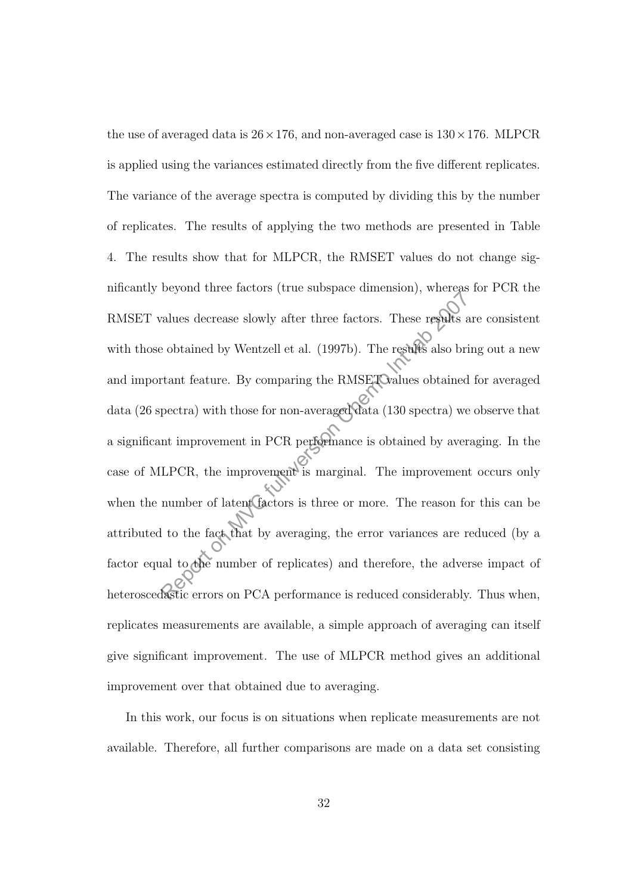the use of averaged data is  $26 \times 176$ , and non-averaged case is  $130 \times 176$ . MLPCR is applied using the variances estimated directly from the five different replicates. The variance of the average spectra is computed by dividing this by the number of replicates. The results of applying the two methods are presented in Table 4. The results show that for MLPCR, the RMSET values do not change significantly beyond three factors (true subspace dimension), whereas for PCR the RMSET values decrease slowly after three factors. These results are consistent with those obtained by Wentzell et al. (1997b). The results also bring out a new and important feature. By comparing the RMSET values obtained for averaged data (26 spectra) with those for non-averaged data (130 spectra) we observe that a significant improvement in PCR performance is obtained by averaging. In the case of MLPCR, the improvement is marginal. The improvement occurs only when the number of latent factors is three or more. The reason for this can be attributed to the fact that by averaging, the error variances are reduced (by a factor equal to the number of replicates) and therefore, the adverse impact of heteroscedastic errors on PCA performance is reduced considerably. Thus when, replicates measurements are available, a simple approach of averaging can itself give significant improvement. The use of MLPCR method gives an additional improvement over that obtained due to averaging. ratures decrease slowly after three factors. These results a<br>e obtained by Wentzell et al. (1997b). The results also bri<br>trant feature. By comparing the RMSE To alues obtained<br>pectra) with those for non-averaged data (130

In this work, our focus is on situations when replicate measurements are not available. Therefore, all further comparisons are made on a data set consisting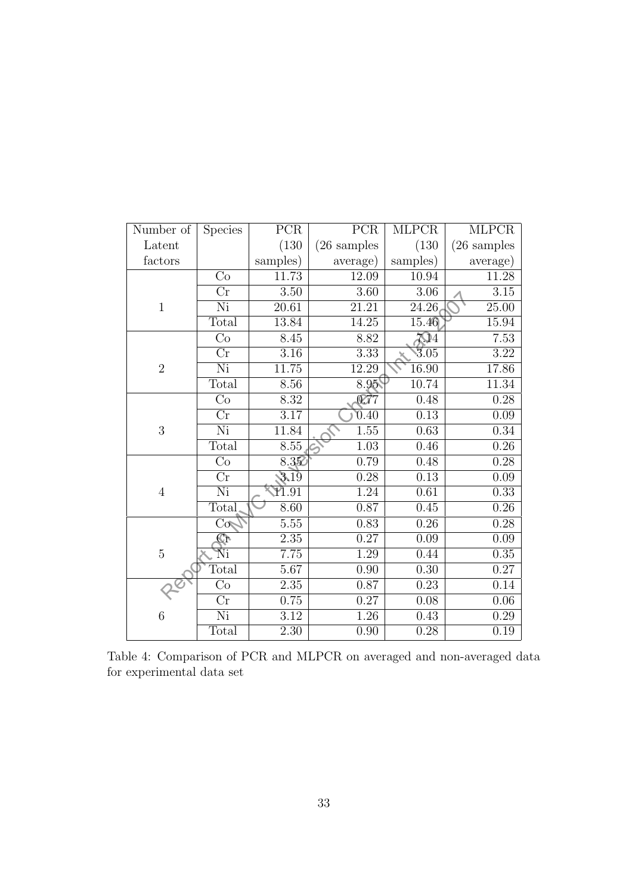| Number of      | <b>Species</b>           | $\overline{PCR}$  | $\overline{PCR}$          | <b>MLPCR</b>      | <b>MLPCR</b>          |
|----------------|--------------------------|-------------------|---------------------------|-------------------|-----------------------|
| Latent         |                          | (130)             | $(26 \text{ samples}$     | (130)             | $(26 \text{ samples}$ |
| factors        |                          | samples)          | average)                  | samples)          | average)              |
|                | Co                       | 11.73             | 12.09                     | 10.94             | 11.28                 |
|                | $\overline{\mathrm{Cr}}$ | $\overline{3.50}$ | $\overline{3.60}$         | 3.06              | 3.15                  |
| $\mathbf{1}$   | Ni                       | 20.61             | 21.21                     | 24.26             | 25.00                 |
|                | Total                    | 13.84             | 14.25                     | 15.46             | 15.94                 |
|                | Co                       | 8.45              | 8.82                      | 204               | 7.53                  |
|                | $\overline{\mathrm{Cr}}$ | 3.16              | $\overline{3.33}$         | 3.05              | 3.22                  |
| $\overline{2}$ | Ni                       | 11.75             | 12.29                     | 16.90             | 17.86                 |
|                | Total                    | 8.56              | 8.95                      | 10.74             | 11.34                 |
|                | Co                       | 8.32              | $\overline{\mathbb{C}77}$ | 0.48              | 0.28                  |
|                | $\overline{\text{Cr}}$   | 3.17              | $\overline{0.40}$         | $\overline{0.13}$ | 0.09                  |
| 3              | Ni                       | 11.84             | 1.55                      | 0.63              | 0.34                  |
|                | Total                    | 8.55              | $\overline{1.03}$         | 0.46              | 0.26                  |
|                | $\overline{\mathrm{Co}}$ | 8.35              | 0.79                      | 0.48              | 0.28                  |
|                | $\overline{\text{Cr}}$   | 3,19              | 0.28                      | 0.13              | 0.09                  |
| $\overline{4}$ | Ni                       | 11.91             | 1.24                      | 0.61              | 0.33                  |
|                | Total                    | 8.60              | 0.87                      | 0.45              | 0.26                  |
|                | $\overline{\text{Co}}$   | $5.55\,$          | 0.83                      | $0.26\,$          | 0.28                  |
|                | <b>Gr</b>                | 2.35              | 0.27                      | 0.09              | 0.09                  |
| $\overline{5}$ | Ňi                       | 7.75              | 1.29                      | 0.44              | 0.35                  |
|                | Total                    | 5.67              | 0.90                      | 0.30              | 0.27                  |
|                | Co                       | $2.35\,$          | 0.87                      | 0.23              | $0.14\,$              |
|                | $\overline{\mathrm{Cr}}$ | 0.75              | 0.27                      | 0.08              | $\overline{0.06}$     |
| 6              | Ni                       | $3.12\,$          | 1.26                      | 0.43              | $0.29\,$              |
|                | Total                    | 2.30              | $\overline{0.90}$         | $\overline{0.28}$ | 0.19                  |

Table 4: Comparison of PCR and MLPCR on averaged and non-averaged data for experimental data set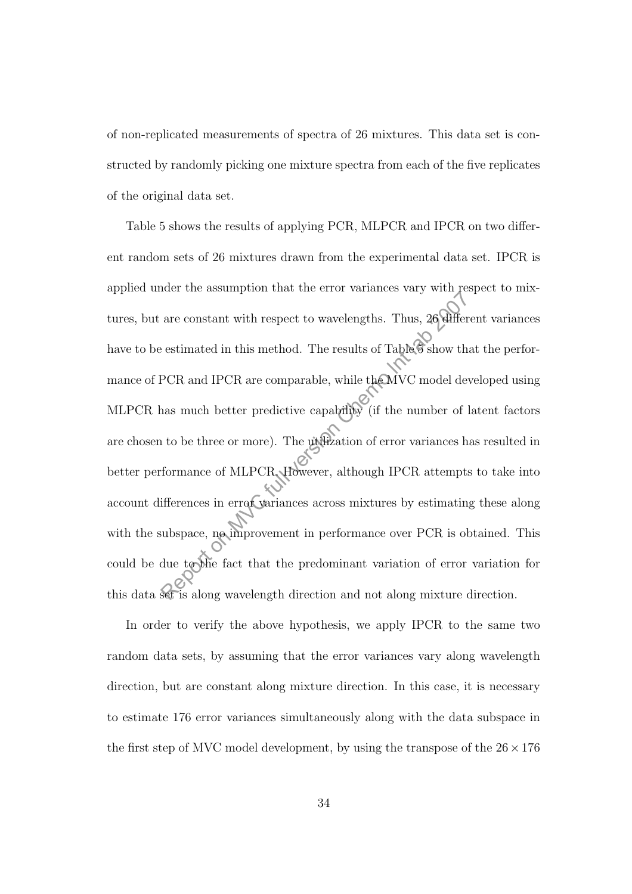of non-replicated measurements of spectra of 26 mixtures. This data set is constructed by randomly picking one mixture spectra from each of the five replicates of the original data set.

Table 5 shows the results of applying PCR, MLPCR and IPCR on two different random sets of 26 mixtures drawn from the experimental data set. IPCR is applied under the assumption that the error variances vary with respect to mixtures, but are constant with respect to wavelengths. Thus, 26 different variances have to be estimated in this method. The results of Table  $\widehat{\mathcal{G}}$  show that the performance of PCR and IPCR are comparable, while the MVC model developed using MLPCR has much better predictive capability (if the number of latent factors are chosen to be three or more). The utilization of error variances has resulted in better performance of MLPCR. However, although IPCR attempts to take into account differences in error variances across mixtures by estimating these along with the subspace, no improvement in performance over PCR is obtained. This could be due to the fact that the predominant variation of error variation for this data set is along wavelength direction and not along mixture direction. are constant with respect to wavelengths. Thus, 26 different estimated in this method. The results of Table 3 show the PCR and IPCR are comparable, while the MVC model devans much better predictive capability (if the numbe

In order to verify the above hypothesis, we apply IPCR to the same two random data sets, by assuming that the error variances vary along wavelength direction, but are constant along mixture direction. In this case, it is necessary to estimate 176 error variances simultaneously along with the data subspace in the first step of MVC model development, by using the transpose of the  $26 \times 176$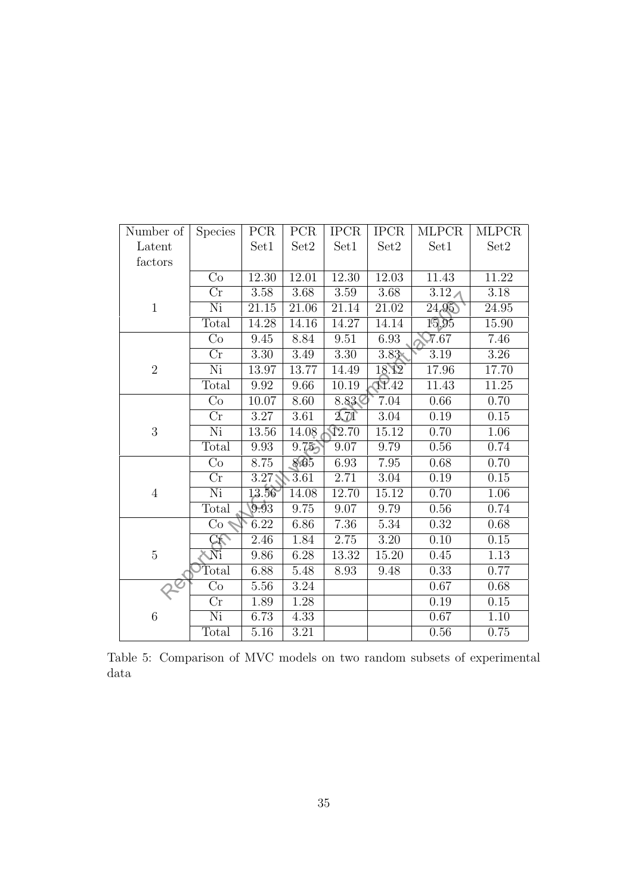| Number of      | <b>Species</b>           | PCR      | PCR      | <b>IPCR</b>       | <b>IPCR</b>       | <b>MLPCR</b>      | <b>MLPCR</b>      |
|----------------|--------------------------|----------|----------|-------------------|-------------------|-------------------|-------------------|
| Latent         |                          | Set1     | Set2     | Set1              | Set2              | Set1              | Set2              |
| factors        |                          |          |          |                   |                   |                   |                   |
|                | Co                       | 12.30    | 12.01    | 12.30             | 12.03             | 11.43             | 11.22             |
|                | Cr                       | 3.58     | 3.68     | 3.59              | 3.68              | 3.12 <sub>A</sub> | 3.18              |
| $\mathbf{1}$   | Ni                       | 21.15    | 21.06    | 21.14             | 21.02             | 24,95             | 24.95             |
|                | Total                    | 14.28    | 14.16    | 14.27             | 14.14             | 15.95             | 15.90             |
|                | Co                       | 9.45     | 8.84     | $9.51\,$          | 6.93              | $\overline{7}.67$ | 7.46              |
|                | $\overline{\text{Cr}}$   | 3.30     | 3.49     | $\overline{3.30}$ | $3.83*$           | 3.19              | 3.26              |
| $\overline{2}$ | Ni                       | 13.97    | 13.77    | 14.49             | 18.12             | 17.96             | 17.70             |
|                | Total                    | 9.92     | 9.66     | 10.19             | <b>N.42</b>       | 11.43             | 11.25             |
|                | Co                       | 10.07    | 8.60     | 8.83              | 7.04              | 0.66              | 0.70              |
|                | $\overline{\mathrm{Cr}}$ | 3.27     | 3.61     | 2.71              | 3.04              | $\overline{0.19}$ | $\overline{0.15}$ |
| 3              | Ni                       | 13.56    | 14.08    | $\sqrt{2.70}$     | 15.12             | 0.70              | 1.06              |
|                | Total                    | 9.93     | 9.75     | 9.07              | 9.79              | 0.56              | 0.74              |
|                | Co                       | 8.75     | 8.65     | $6.93\,$          | 7.95              | 0.68              | 0.70              |
|                | $\overline{\text{Cr}}$   | $3.27$ ; | 3.61     | 2.71              | 3.04              | 0.19              | 0.15              |
| $\overline{4}$ | $\overline{\text{Ni}}$   | 13.56    | 14.08    | 12.70             | 15.12             | 0.70              | 1.06              |
|                | Total                    | 9.93     | 9.75     | 9.07              | 9.79              | $0.56\,$          | 0.74              |
|                | Co                       | 6.22     | 6.86     | 7.36              | $5.34\,$          | 0.32              | 0.68              |
|                | $\Im$                    | 2.46     | 1.84     | $\overline{2.75}$ | $\overline{3.20}$ | $\overline{0.10}$ | 0.15              |
| $\overline{5}$ | Ñi                       | 9.86     | 6.28     | 13.32             | 15.20             | 0.45              | 1.13              |
|                | Total                    | 6.88     | 5.48     | 8.93              | 9.48              | 0.33              | 0.77              |
|                | Co                       | 5.56     | $3.24\,$ |                   |                   | $0.67\,$          | 0.68              |
|                | Cr                       | 1.89     | $1.28\,$ |                   |                   | $0.19\,$          | 0.15              |
| 6              | Ni                       | 6.73     | 4.33     |                   |                   | 0.67              | 1.10              |
|                | Total                    | 5.16     | 3.21     |                   |                   | $0.56\,$          | 0.75              |

Table 5: Comparison of MVC models on two random subsets of experimental data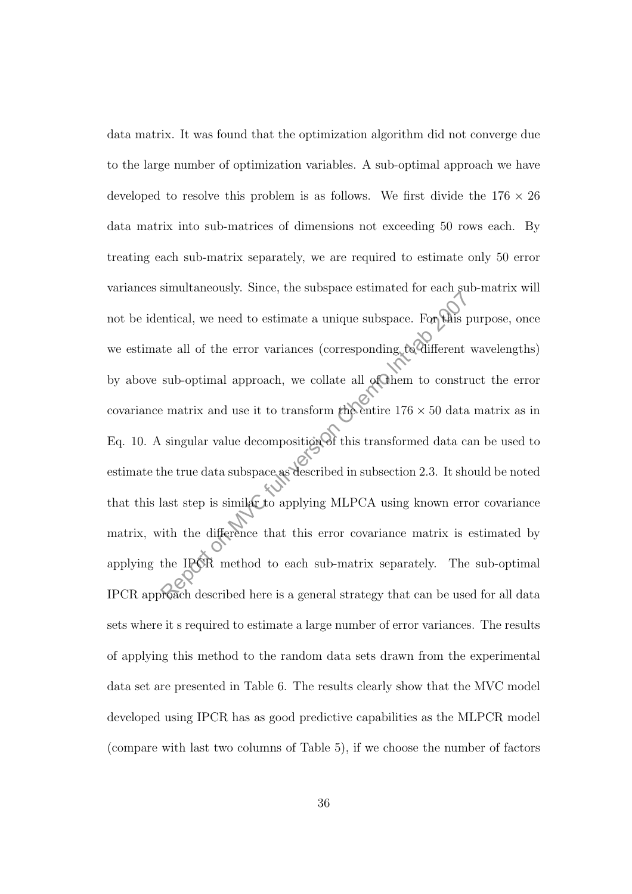data matrix. It was found that the optimization algorithm did not converge due to the large number of optimization variables. A sub-optimal approach we have developed to resolve this problem is as follows. We first divide the  $176 \times 26$ data matrix into sub-matrices of dimensions not exceeding 50 rows each. By treating each sub-matrix separately, we are required to estimate only 50 error variances simultaneously. Since, the subspace estimated for each sub-matrix will not be identical, we need to estimate a unique subspace. For this purpose, once we estimate all of the error variances (corresponding to different wavelengths) by above sub-optimal approach, we collate all of them to construct the error covariance matrix and use it to transform the entire  $176 \times 50$  data matrix as in Eq. 10. A singular value decomposition of this transformed data can be used to estimate the true data subspace as described in subsection 2.3. It should be noted that this last step is similar to applying MLPCA using known error covariance matrix, with the difference that this error covariance matrix is estimated by applying the IPCR method to each sub-matrix separately. The sub-optimal IPCR approach described here is a general strategy that can be used for all data sets where it s required to estimate a large number of error variances. The results of applying this method to the random data sets drawn from the experimental data set are presented in Table 6. The results clearly show that the MVC model developed using IPCR has as good predictive capabilities as the MLPCR model (compare with last two columns of Table 5), if we choose the number of factors examples on Music and the state of MBIs I<br>antical, we need to estimate a unique subspace. For this I<br>te all of the error variances (corresponding to different<br>sub-optimal approach, we collate all of them to constribute<br>in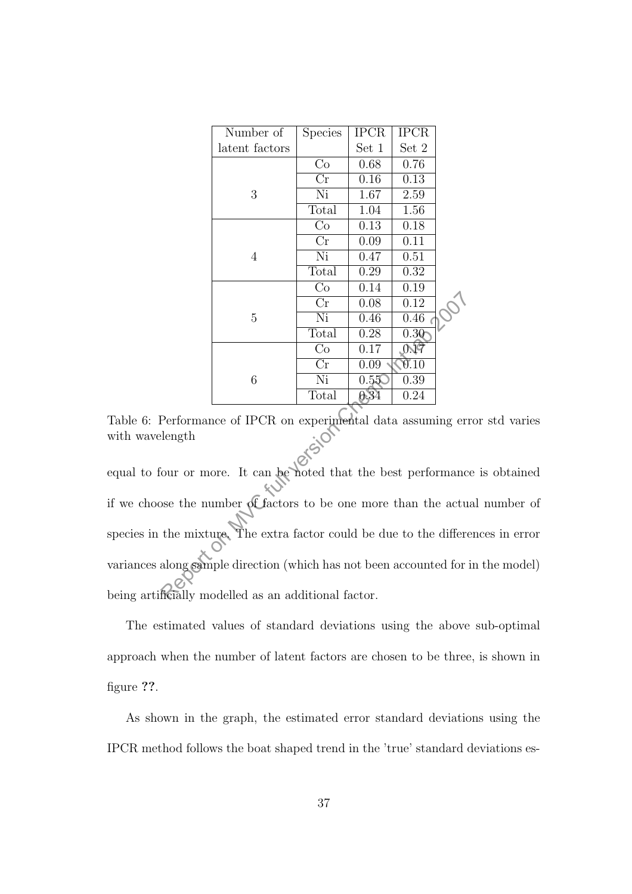| Number of      | <b>Species</b>      | <b>IPCR</b> | <b>IPCR</b> |  |
|----------------|---------------------|-------------|-------------|--|
| latent factors |                     | Set 1       | $Set\ 2$    |  |
|                | Co                  | 0.68        | 0.76        |  |
|                | $\operatorname{Cr}$ | 0.16        | 0.13        |  |
| 3              | Ni                  | 1.67        | 2.59        |  |
|                | Total               | 1.04        | 1.56        |  |
|                | Co                  | 0.13        | 0.18        |  |
|                | Cr                  | 0.09        | 0.11        |  |
| 4              | Ni                  | 0.47        | 0.51        |  |
|                | Total               | 0.29        | 0.32        |  |
|                | Co                  | 0.14        | 0.19        |  |
|                | $\operatorname{Cr}$ | 0.08        | 0.12        |  |
| 5              | Ni                  | 0.46        | 0.46        |  |
|                | Total               | 0.28        | 0.30        |  |
|                | $\rm{Co}$           | 0.17        | 0.19        |  |
|                | Cr                  | 0.09        | 0.10        |  |
| 6              | Ni                  | 0.55        | 0.39        |  |
|                | Total               | 0.34        | 0.24        |  |

Table 6: Performance of IPCR on experimental data assuming error std varies with wavelength

equal to four or more. It can be noted that the best performance is obtained if we choose the number of factors to be one more than the actual number of species in the mixture. The extra factor could be due to the differences in error variances along sample direction (which has not been accounted for in the model) being artificially modelled as an additional factor.  $\begin{array}{r|l} \hline \text{Cr} & 0.08 & 0.12 \ \hline \text{Total} & 0.28 & 0.30 \ \hline \text{Total} & 0.28 & 0.300 \ \hline \text{Co} & 0.17 & 0.07 \ \hline \text{Cr} & 0.09 & 0.10 \ \hline \text{Cr} & 0.09 & 0.10 \ \hline \text{N} & \text{C}_r & 0.09 & 0.10 \ \hline \text{N} & 0.550 & 0.39 \ \hline \text{Total} & 0.34 & 0.24 \ \hline \text{Performance of IPCR on experimental data$ 

The estimated values of standard deviations using the above sub-optimal approach when the number of latent factors are chosen to be three, is shown in figure ??.

As shown in the graph, the estimated error standard deviations using the IPCR method follows the boat shaped trend in the 'true' standard deviations es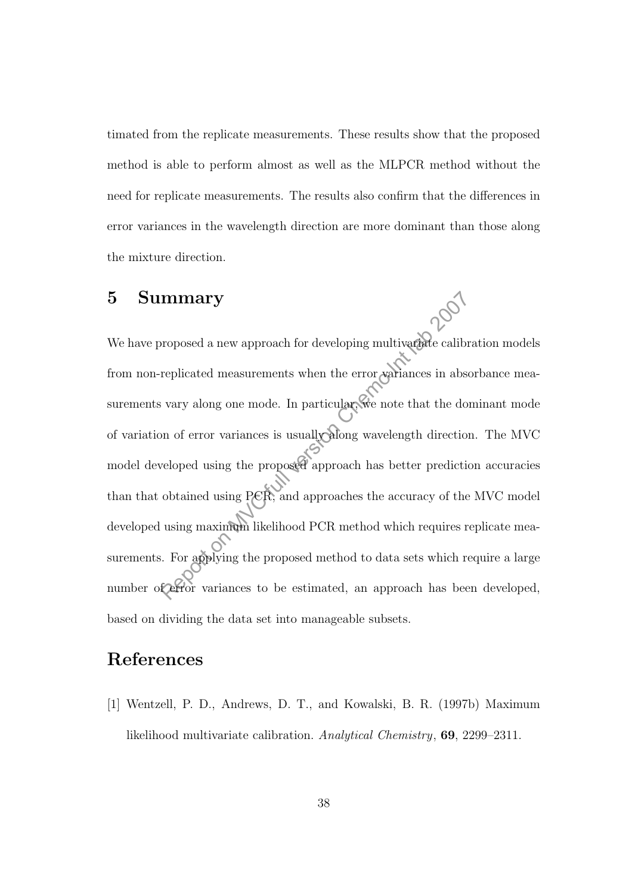timated from the replicate measurements. These results show that the proposed method is able to perform almost as well as the MLPCR method without the need for replicate measurements. The results also confirm that the differences in error variances in the wavelength direction are more dominant than those along the mixture direction.

# 5 Summary

We have proposed a new approach for developing multivariate calibration models from non-replicated measurements when the error variances in absorbance measurements vary along one mode. In particular, we note that the dominant mode of variation of error variances is usually along wavelength direction. The MVC model developed using the proposed approach has better prediction accuracies than that obtained using PCR, and approaches the accuracy of the MVC model developed using maximum likelihood PCR method which requires replicate measurements. For applying the proposed method to data sets which require a large number of error variances to be estimated, an approach has been developed, based on dividing the data set into manageable subsets. mary<br>
roposed a new approach for developing multivary calibr<br>
replicated measurements when the error variances in absorting<br>
example in the error variances is usually<br>
along wavelength direction<br>
on of error variances is u

# References

[1] Wentzell, P. D., Andrews, D. T., and Kowalski, B. R. (1997b) Maximum likelihood multivariate calibration. Analytical Chemistry, 69, 2299–2311.